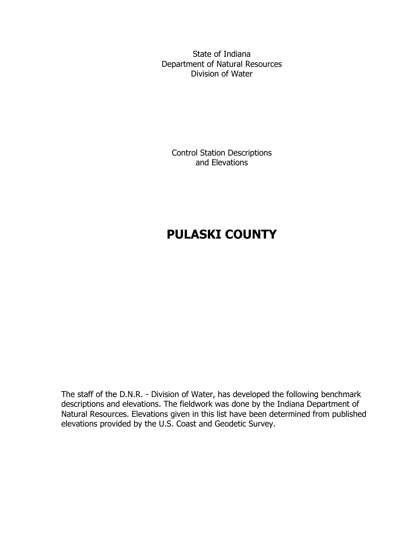State of Indiana Department of Natural Resources Division of Water

Control Station Descriptions and Elevations

# **PULASKI COUNTY**

The staff of the D.N.R. - Division of Water, has developed the following benchmark descriptions and elevations. The fieldwork was done by the Indiana Department of Natural Resources. Elevations given in this list have been determined from published elevations provided by the U.S. Coast and Geodetic Survey.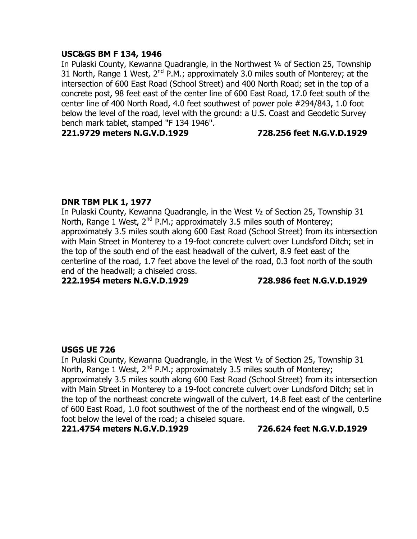### **USC&GS BM F 134, 1946**

In Pulaski County, Kewanna Quadrangle, in the Northwest ¼ of Section 25, Township 31 North, Range 1 West,  $2^{nd}$  P.M.; approximately 3.0 miles south of Monterey; at the intersection of 600 East Road (School Street) and 400 North Road; set in the top of a concrete post, 98 feet east of the center line of 600 East Road, 17.0 feet south of the center line of 400 North Road, 4.0 feet southwest of power pole #294/843, 1.0 foot below the level of the road, level with the ground: a U.S. Coast and Geodetic Survey bench mark tablet, stamped "F 134 1946".

**221.9729 meters N.G.V.D.1929 728.256 feet N.G.V.D.1929**

# **DNR TBM PLK 1, 1977**

In Pulaski County, Kewanna Quadrangle, in the West ½ of Section 25, Township 31 North, Range 1 West,  $2^{nd}$  P.M.; approximately 3.5 miles south of Monterey; approximately 3.5 miles south along 600 East Road (School Street) from its intersection with Main Street in Monterey to a 19-foot concrete culvert over Lundsford Ditch; set in the top of the south end of the east headwall of the culvert, 8.9 feet east of the centerline of the road, 1.7 feet above the level of the road, 0.3 foot north of the south end of the headwall; a chiseled cross.

**222.1954 meters N.G.V.D.1929 728.986 feet N.G.V.D.1929**

# **USGS UE 726**

In Pulaski County, Kewanna Quadrangle, in the West ½ of Section 25, Township 31 North, Range 1 West,  $2^{nd}$  P.M.; approximately 3.5 miles south of Monterey; approximately 3.5 miles south along 600 East Road (School Street) from its intersection with Main Street in Monterey to a 19-foot concrete culvert over Lundsford Ditch; set in the top of the northeast concrete wingwall of the culvert, 14.8 feet east of the centerline of 600 East Road, 1.0 foot southwest of the of the northeast end of the wingwall, 0.5 foot below the level of the road; a chiseled square.

#### **221.4754 meters N.G.V.D.1929 726.624 feet N.G.V.D.1929**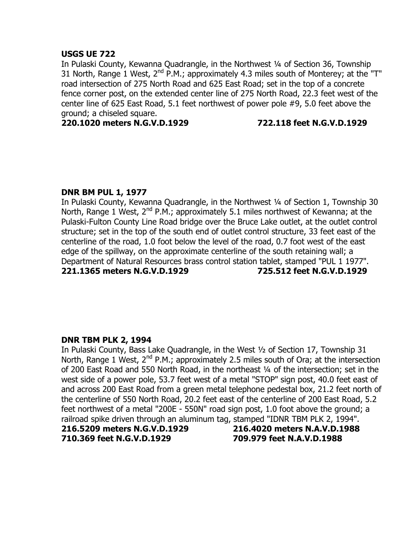# **USGS UE 722**

In Pulaski County, Kewanna Quadrangle, in the Northwest ¼ of Section 36, Township 31 North, Range 1 West,  $2^{nd}$  P.M.; approximately 4.3 miles south of Monterey; at the "T" road intersection of 275 North Road and 625 East Road; set in the top of a concrete fence corner post, on the extended center line of 275 North Road, 22.3 feet west of the center line of 625 East Road, 5.1 feet northwest of power pole #9, 5.0 feet above the ground; a chiseled square.

**220.1020 meters N.G.V.D.1929 722.118 feet N.G.V.D.1929**

# **DNR BM PUL 1, 1977**

In Pulaski County, Kewanna Quadrangle, in the Northwest ¼ of Section 1, Township 30 North, Range 1 West, 2<sup>nd</sup> P.M.; approximately 5.1 miles northwest of Kewanna; at the Pulaski-Fulton County Line Road bridge over the Bruce Lake outlet, at the outlet control structure; set in the top of the south end of outlet control structure, 33 feet east of the centerline of the road, 1.0 foot below the level of the road, 0.7 foot west of the east edge of the spillway, on the approximate centerline of the south retaining wall; a Department of Natural Resources brass control station tablet, stamped "PUL 1 1977". **221.1365 meters N.G.V.D.1929 725.512 feet N.G.V.D.1929**

# **DNR TBM PLK 2, 1994**

In Pulaski County, Bass Lake Quadrangle, in the West ½ of Section 17, Township 31 North, Range 1 West,  $2^{nd}$  P.M.; approximately 2.5 miles south of Ora; at the intersection of 200 East Road and 550 North Road, in the northeast ¼ of the intersection; set in the west side of a power pole, 53.7 feet west of a metal "STOP" sign post, 40.0 feet east of and across 200 East Road from a green metal telephone pedestal box, 21.2 feet north of the centerline of 550 North Road, 20.2 feet east of the centerline of 200 East Road, 5.2 feet northwest of a metal "200E - 550N" road sign post, 1.0 foot above the ground; a railroad spike driven through an aluminum tag, stamped "IDNR TBM PLK 2, 1994".

**710.369 feet N.G.V.D.1929 709.979 feet N.A.V.D.1988**

**216.5209 meters N.G.V.D.1929 216.4020 meters N.A.V.D.1988**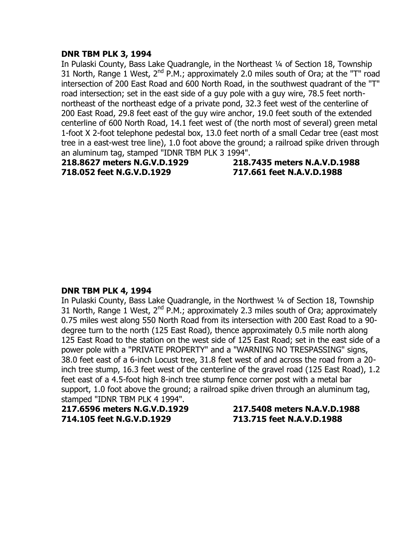#### **DNR TBM PLK 3, 1994**

In Pulaski County, Bass Lake Ouadrangle, in the Northeast 1/4 of Section 18, Township 31 North, Range 1 West,  $2^{nd}$  P.M.; approximately 2.0 miles south of Ora; at the "T" road intersection of 200 East Road and 600 North Road, in the southwest quadrant of the "T" road intersection; set in the east side of a guy pole with a guy wire, 78.5 feet northnortheast of the northeast edge of a private pond, 32.3 feet west of the centerline of 200 East Road, 29.8 feet east of the guy wire anchor, 19.0 feet south of the extended centerline of 600 North Road, 14.1 feet west of (the north most of several) green metal 1-foot X 2-foot telephone pedestal box, 13.0 feet north of a small Cedar tree (east most tree in a east-west tree line), 1.0 foot above the ground; a railroad spike driven through an aluminum tag, stamped "IDNR TBM PLK 3 1994".

**718.052 feet N.G.V.D.1929 717.661 feet N.A.V.D.1988**

**218.8627 meters N.G.V.D.1929 218.7435 meters N.A.V.D.1988**

# **DNR TBM PLK 4, 1994**

In Pulaski County, Bass Lake Quadrangle, in the Northwest ¼ of Section 18, Township 31 North, Range 1 West,  $2^{nd}$  P.M.; approximately 2.3 miles south of Ora; approximately 0.75 miles west along 550 North Road from its intersection with 200 East Road to a 90 degree turn to the north (125 East Road), thence approximately 0.5 mile north along 125 East Road to the station on the west side of 125 East Road; set in the east side of a power pole with a "PRIVATE PROPERTY" and a "WARNING NO TRESPASSING" signs, 38.0 feet east of a 6-inch Locust tree, 31.8 feet west of and across the road from a 20 inch tree stump, 16.3 feet west of the centerline of the gravel road (125 East Road), 1.2 feet east of a 4.5-foot high 8-inch tree stump fence corner post with a metal bar support, 1.0 foot above the ground; a railroad spike driven through an aluminum tag, stamped "IDNR TBM PLK 4 1994".

**217.6596 meters N.G.V.D.1929 217.5408 meters N.A.V.D.1988 714.105 feet N.G.V.D.1929 713.715 feet N.A.V.D.1988**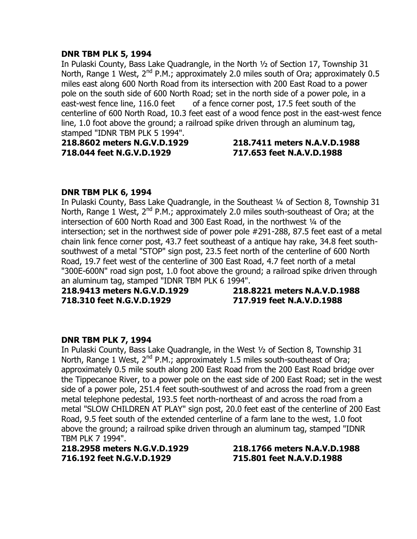# **DNR TBM PLK 5, 1994**

In Pulaski County, Bass Lake Quadrangle, in the North ½ of Section 17, Township 31 North, Range 1 West, 2<sup>nd</sup> P.M.; approximately 2.0 miles south of Ora; approximately 0.5 miles east along 600 North Road from its intersection with 200 East Road to a power pole on the south side of 600 North Road; set in the north side of a power pole, in a east-west fence line, 116.0 feet of a fence corner post, 17.5 feet south of the centerline of 600 North Road, 10.3 feet east of a wood fence post in the east-west fence line, 1.0 foot above the ground; a railroad spike driven through an aluminum tag, stamped "IDNR TBM PLK 5 1994".

**718.044 feet N.G.V.D.1929 717.653 feet N.A.V.D.1988**

# **218.8602 meters N.G.V.D.1929 218.7411 meters N.A.V.D.1988**

# **DNR TBM PLK 6, 1994**

In Pulaski County, Bass Lake Quadrangle, in the Southeast 1/4 of Section 8, Township 31 North, Range 1 West,  $2^{nd}$  P.M.; approximately 2.0 miles south-southeast of Ora; at the intersection of 600 North Road and 300 East Road, in the northwest ¼ of the intersection; set in the northwest side of power pole #291-288, 87.5 feet east of a metal chain link fence corner post, 43.7 feet southeast of a antique hay rake, 34.8 feet southsouthwest of a metal "STOP" sign post, 23.5 feet north of the centerline of 600 North Road, 19.7 feet west of the centerline of 300 East Road, 4.7 feet north of a metal "300E-600N" road sign post, 1.0 foot above the ground; a railroad spike driven through an aluminum tag, stamped "IDNR TBM PLK 6 1994".

**718.310 feet N.G.V.D.1929 717.919 feet N.A.V.D.1988**

**218.9413 meters N.G.V.D.1929 218.8221 meters N.A.V.D.1988**

# **DNR TBM PLK 7, 1994**

In Pulaski County, Bass Lake Quadrangle, in the West ½ of Section 8, Township 31 North, Range 1 West, 2<sup>nd</sup> P.M.; approximately 1.5 miles south-southeast of Ora; approximately 0.5 mile south along 200 East Road from the 200 East Road bridge over the Tippecanoe River, to a power pole on the east side of 200 East Road; set in the west side of a power pole, 251.4 feet south-southwest of and across the road from a green metal telephone pedestal, 193.5 feet north-northeast of and across the road from a metal "SLOW CHILDREN AT PLAY" sign post, 20.0 feet east of the centerline of 200 East Road, 9.5 feet south of the extended centerline of a farm lane to the west, 1.0 foot above the ground; a railroad spike driven through an aluminum tag, stamped "IDNR TBM PLK 7 1994".

**218.2958 meters N.G.V.D.1929 218.1766 meters N.A.V.D.1988 716.192 feet N.G.V.D.1929 715.801 feet N.A.V.D.1988**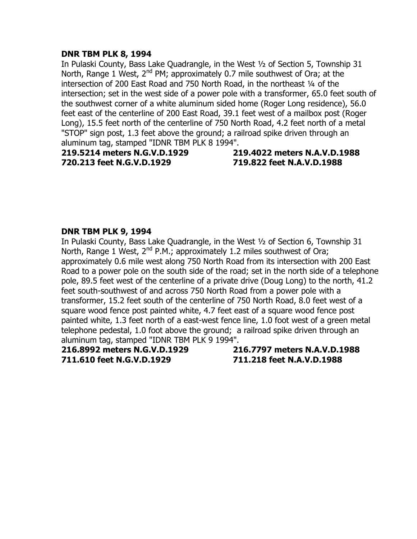# **DNR TBM PLK 8, 1994**

In Pulaski County, Bass Lake Quadrangle, in the West ½ of Section 5, Township 31 North, Range 1 West, 2<sup>nd</sup> PM; approximately 0.7 mile southwest of Ora; at the intersection of 200 East Road and 750 North Road, in the northeast 1/4 of the intersection; set in the west side of a power pole with a transformer, 65.0 feet south of the southwest corner of a white aluminum sided home (Roger Long residence), 56.0 feet east of the centerline of 200 East Road, 39.1 feet west of a mailbox post (Roger Long), 15.5 feet north of the centerline of 750 North Road, 4.2 feet north of a metal "STOP" sign post, 1.3 feet above the ground; a railroad spike driven through an aluminum tag, stamped "IDNR TBM PLK 8 1994".

**219.5214 meters N.G.V.D.1929 219.4022 meters N.A.V.D.1988 720.213 feet N.G.V.D.1929 719.822 feet N.A.V.D.1988**

#### **DNR TBM PLK 9, 1994**

In Pulaski County, Bass Lake Quadrangle, in the West ½ of Section 6, Township 31 North, Range 1 West,  $2^{nd}$  P.M.; approximately 1.2 miles southwest of Ora; approximately 0.6 mile west along 750 North Road from its intersection with 200 East Road to a power pole on the south side of the road; set in the north side of a telephone pole, 89.5 feet west of the centerline of a private drive (Doug Long) to the north, 41.2 feet south-southwest of and across 750 North Road from a power pole with a transformer, 15.2 feet south of the centerline of 750 North Road, 8.0 feet west of a square wood fence post painted white, 4.7 feet east of a square wood fence post painted white, 1.3 feet north of a east-west fence line, 1.0 foot west of a green metal telephone pedestal, 1.0 foot above the ground; a railroad spike driven through an aluminum tag, stamped "IDNR TBM PLK 9 1994".

**216.8992 meters N.G.V.D.1929 216.7797 meters N.A.V.D.1988 711.610 feet N.G.V.D.1929 711.218 feet N.A.V.D.1988**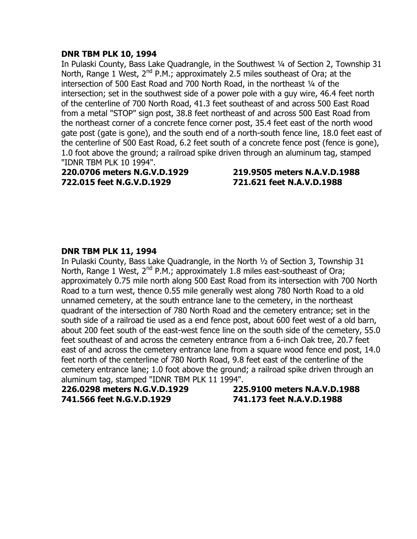# **DNR TBM PLK 10, 1994**

In Pulaski County, Bass Lake Quadrangle, in the Southwest ¼ of Section 2, Township 31 North, Range 1 West,  $2^{nd}$  P.M.; approximately 2.5 miles southeast of Ora; at the intersection of 500 East Road and 700 North Road, in the northeast 1/4 of the intersection; set in the southwest side of a power pole with a guy wire, 46.4 feet north of the centerline of 700 North Road, 41.3 feet southeast of and across 500 East Road from a metal "STOP" sign post, 38.8 feet northeast of and across 500 East Road from the northeast corner of a concrete fence corner post, 35.4 feet east of the north wood gate post (gate is gone), and the south end of a north-south fence line, 18.0 feet east of the centerline of 500 East Road, 6.2 feet south of a concrete fence post (fence is gone), 1.0 foot above the ground; a railroad spike driven through an aluminum tag, stamped "IDNR TBM PLK 10 1994".

**220.0706 meters N.G.V.D.1929 219.9505 meters N.A.V.D.1988 722.015 feet N.G.V.D.1929 721.621 feet N.A.V.D.1988**

# **DNR TBM PLK 11, 1994**

In Pulaski County, Bass Lake Quadrangle, in the North ½ of Section 3, Township 31 North, Range 1 West,  $2^{nd}$  P.M.; approximately 1.8 miles east-southeast of Ora; approximately 0.75 mile north along 500 East Road from its intersection with 700 North Road to a turn west, thence 0.55 mile generally west along 780 North Road to a old unnamed cemetery, at the south entrance lane to the cemetery, in the northeast quadrant of the intersection of 780 North Road and the cemetery entrance; set in the south side of a railroad tie used as a end fence post, about 600 feet west of a old barn, about 200 feet south of the east-west fence line on the south side of the cemetery, 55.0 feet southeast of and across the cemetery entrance from a 6-inch Oak tree, 20.7 feet east of and across the cemetery entrance lane from a square wood fence end post, 14.0 feet north of the centerline of 780 North Road, 9.8 feet east of the centerline of the cemetery entrance lane; 1.0 foot above the ground; a railroad spike driven through an aluminum tag, stamped "IDNR TBM PLK 11 1994".

**741.566 feet N.G.V.D.1929 741.173 feet N.A.V.D.1988**

**226.0298 meters N.G.V.D.1929 225.9100 meters N.A.V.D.1988**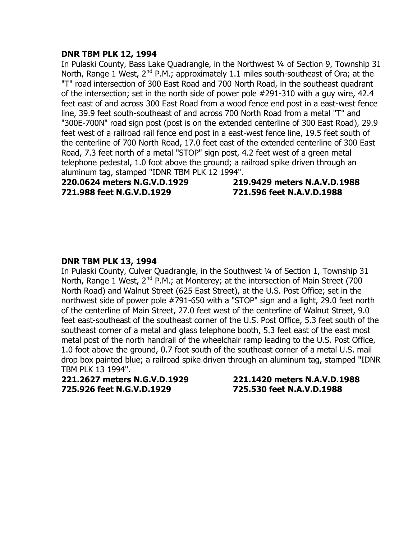### **DNR TBM PLK 12, 1994**

In Pulaski County, Bass Lake Quadrangle, in the Northwest ¼ of Section 9, Township 31 North, Range 1 West,  $2^{nd}$  P.M.; approximately 1.1 miles south-southeast of Ora; at the "T" road intersection of 300 East Road and 700 North Road, in the southeast quadrant of the intersection; set in the north side of power pole #291-310 with a guy wire, 42.4 feet east of and across 300 East Road from a wood fence end post in a east-west fence line, 39.9 feet south-southeast of and across 700 North Road from a metal "T" and "300E-700N" road sign post (post is on the extended centerline of 300 East Road), 29.9 feet west of a railroad rail fence end post in a east-west fence line, 19.5 feet south of the centerline of 700 North Road, 17.0 feet east of the extended centerline of 300 East Road, 7.3 feet north of a metal "STOP" sign post, 4.2 feet west of a green metal telephone pedestal, 1.0 foot above the ground; a railroad spike driven through an aluminum tag, stamped "IDNR TBM PLK 12 1994".

**721.988 feet N.G.V.D.1929 721.596 feet N.A.V.D.1988**

**220.0624 meters N.G.V.D.1929 219.9429 meters N.A.V.D.1988**

# **DNR TBM PLK 13, 1994**

In Pulaski County, Culver Quadrangle, in the Southwest ¼ of Section 1, Township 31 North, Range 1 West,  $2^{nd}$  P.M.; at Monterey; at the intersection of Main Street (700 North Road) and Walnut Street (625 East Street), at the U.S. Post Office; set in the northwest side of power pole #791-650 with a "STOP" sign and a light, 29.0 feet north of the centerline of Main Street, 27.0 feet west of the centerline of Walnut Street, 9.0 feet east-southeast of the southeast corner of the U.S. Post Office, 5.3 feet south of the southeast corner of a metal and glass telephone booth, 5.3 feet east of the east most metal post of the north handrail of the wheelchair ramp leading to the U.S. Post Office, 1.0 foot above the ground, 0.7 foot south of the southeast corner of a metal U.S. mail drop box painted blue; a railroad spike driven through an aluminum tag, stamped "IDNR TBM PLK 13 1994".

**221.2627 meters N.G.V.D.1929 221.1420 meters N.A.V.D.1988 725.926 feet N.G.V.D.1929 725.530 feet N.A.V.D.1988**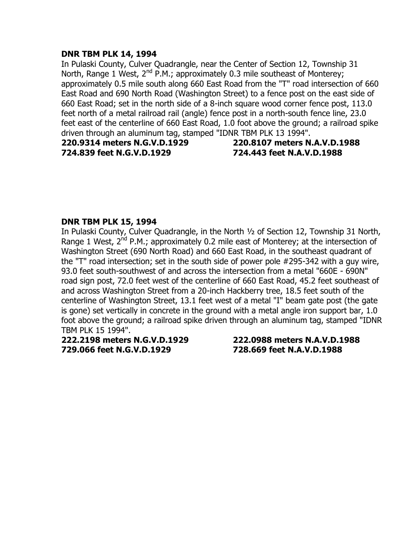# **DNR TBM PLK 14, 1994**

In Pulaski County, Culver Quadrangle, near the Center of Section 12, Township 31 North, Range 1 West,  $2^{nd}$  P.M.; approximately 0.3 mile southeast of Monterey; approximately 0.5 mile south along 660 East Road from the "T" road intersection of 660 East Road and 690 North Road (Washington Street) to a fence post on the east side of 660 East Road; set in the north side of a 8-inch square wood corner fence post, 113.0 feet north of a metal railroad rail (angle) fence post in a north-south fence line, 23.0 feet east of the centerline of 660 East Road, 1.0 foot above the ground; a railroad spike driven through an aluminum tag, stamped "IDNR TBM PLK 13 1994".

**724.839 feet N.G.V.D.1929 724.443 feet N.A.V.D.1988**

**220.9314 meters N.G.V.D.1929 220.8107 meters N.A.V.D.1988**

# **DNR TBM PLK 15, 1994**

In Pulaski County, Culver Quadrangle, in the North ½ of Section 12, Township 31 North, Range 1 West, 2<sup>nd</sup> P.M.; approximately 0.2 mile east of Monterey; at the intersection of Washington Street (690 North Road) and 660 East Road, in the southeast quadrant of the "T" road intersection; set in the south side of power pole #295-342 with a guy wire, 93.0 feet south-southwest of and across the intersection from a metal "660E - 690N" road sign post, 72.0 feet west of the centerline of 660 East Road, 45.2 feet southeast of and across Washington Street from a 20-inch Hackberry tree, 18.5 feet south of the centerline of Washington Street, 13.1 feet west of a metal "I" beam gate post (the gate is gone) set vertically in concrete in the ground with a metal angle iron support bar, 1.0 foot above the ground; a railroad spike driven through an aluminum tag, stamped "IDNR TBM PLK 15 1994".

**222.2198 meters N.G.V.D.1929 222.0988 meters N.A.V.D.1988 729.066 feet N.G.V.D.1929 728.669 feet N.A.V.D.1988**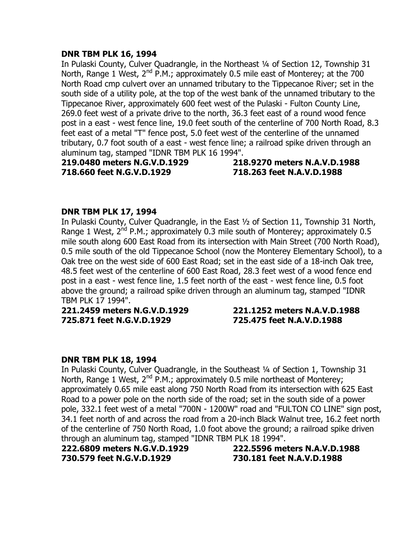# **DNR TBM PLK 16, 1994**

In Pulaski County, Culver Quadrangle, in the Northeast ¼ of Section 12, Township 31 North, Range 1 West,  $2^{nd}$  P.M.; approximately 0.5 mile east of Monterey; at the 700 North Road cmp culvert over an unnamed tributary to the Tippecanoe River; set in the south side of a utility pole, at the top of the west bank of the unnamed tributary to the Tippecanoe River, approximately 600 feet west of the Pulaski - Fulton County Line, 269.0 feet west of a private drive to the north, 36.3 feet east of a round wood fence post in a east - west fence line, 19.0 feet south of the centerline of 700 North Road, 8.3 feet east of a metal "T" fence post, 5.0 feet west of the centerline of the unnamed tributary, 0.7 foot south of a east - west fence line; a railroad spike driven through an aluminum tag, stamped "IDNR TBM PLK 16 1994".

**718.660 feet N.G.V.D.1929 718.263 feet N.A.V.D.1988**

**219.0480 meters N.G.V.D.1929 218.9270 meters N.A.V.D.1988**

# **DNR TBM PLK 17, 1994**

In Pulaski County, Culver Quadrangle, in the East ½ of Section 11, Township 31 North, Range 1 West,  $2^{nd}$  P.M.; approximately 0.3 mile south of Monterey; approximately 0.5 mile south along 600 East Road from its intersection with Main Street (700 North Road), 0.5 mile south of the old Tippecanoe School (now the Monterey Elementary School), to a Oak tree on the west side of 600 East Road; set in the east side of a 18-inch Oak tree, 48.5 feet west of the centerline of 600 East Road, 28.3 feet west of a wood fence end post in a east - west fence line, 1.5 feet north of the east - west fence line, 0.5 foot above the ground; a railroad spike driven through an aluminum tag, stamped "IDNR TBM PLK 17 1994".

**221.2459 meters N.G.V.D.1929 221.1252 meters N.A.V.D.1988 725.871 feet N.G.V.D.1929 725.475 feet N.A.V.D.1988**

# **DNR TBM PLK 18, 1994**

In Pulaski County, Culver Quadrangle, in the Southeast ¼ of Section 1, Township 31 North, Range 1 West,  $2^{nd}$  P.M.; approximately 0.5 mile northeast of Monterey; approximately 0.65 mile east along 750 North Road from its intersection with 625 East Road to a power pole on the north side of the road; set in the south side of a power pole, 332.1 feet west of a metal "700N - 1200W" road and "FULTON CO LINE" sign post, 34.1 feet north of and across the road from a 20-inch Black Walnut tree, 16.2 feet north of the centerline of 750 North Road, 1.0 foot above the ground; a railroad spike driven through an aluminum tag, stamped "IDNR TBM PLK 18 1994".

**222.6809 meters N.G.V.D.1929 222.5596 meters N.A.V.D.1988 730.579 feet N.G.V.D.1929 730.181 feet N.A.V.D.1988**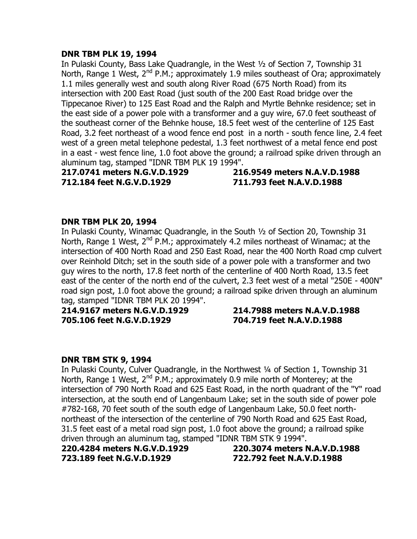# **DNR TBM PLK 19, 1994**

In Pulaski County, Bass Lake Quadrangle, in the West ½ of Section 7, Township 31 North, Range 1 West,  $2^{nd}$  P.M.; approximately 1.9 miles southeast of Ora; approximately 1.1 miles generally west and south along River Road (675 North Road) from its intersection with 200 East Road (just south of the 200 East Road bridge over the Tippecanoe River) to 125 East Road and the Ralph and Myrtle Behnke residence; set in the east side of a power pole with a transformer and a guy wire, 67.0 feet southeast of the southeast corner of the Behnke house, 18.5 feet west of the centerline of 125 East Road, 3.2 feet northeast of a wood fence end post in a north - south fence line, 2.4 feet west of a green metal telephone pedestal, 1.3 feet northwest of a metal fence end post in a east - west fence line, 1.0 foot above the ground; a railroad spike driven through an aluminum tag, stamped "IDNR TBM PLK 19 1994".

**217.0741 meters N.G.V.D.1929 216.9549 meters N.A.V.D.1988 712.184 feet N.G.V.D.1929 711.793 feet N.A.V.D.1988**

# **DNR TBM PLK 20, 1994**

In Pulaski County, Winamac Quadrangle, in the South ½ of Section 20, Township 31 North, Range 1 West,  $2^{nd}$  P.M.; approximately 4.2 miles northeast of Winamac; at the intersection of 400 North Road and 250 East Road, near the 400 North Road cmp culvert over Reinhold Ditch; set in the south side of a power pole with a transformer and two guy wires to the north, 17.8 feet north of the centerline of 400 North Road, 13.5 feet east of the center of the north end of the culvert, 2.3 feet west of a metal "250E - 400N" road sign post, 1.0 foot above the ground; a railroad spike driven through an aluminum tag, stamped "IDNR TBM PLK 20 1994".

**214.9167 meters N.G.V.D.1929 214.7988 meters N.A.V.D.1988 705.106 feet N.G.V.D.1929 704.719 feet N.A.V.D.1988**

# **DNR TBM STK 9, 1994**

In Pulaski County, Culver Quadrangle, in the Northwest ¼ of Section 1, Township 31 North, Range 1 West,  $2^{nd}$  P.M.; approximately 0.9 mile north of Monterey; at the intersection of 790 North Road and 625 East Road, in the north quadrant of the "Y" road intersection, at the south end of Langenbaum Lake; set in the south side of power pole #782-168, 70 feet south of the south edge of Langenbaum Lake, 50.0 feet northnortheast of the intersection of the centerline of 790 North Road and 625 East Road, 31.5 feet east of a metal road sign post, 1.0 foot above the ground; a railroad spike driven through an aluminum tag, stamped "IDNR TBM STK 9 1994".

**220.4284 meters N.G.V.D.1929 220.3074 meters N.A.V.D.1988 723.189 feet N.G.V.D.1929 722.792 feet N.A.V.D.1988**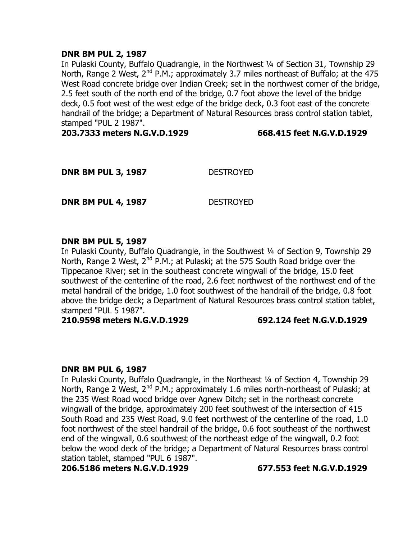# **DNR BM PUL 2, 1987**

In Pulaski County, Buffalo Quadrangle, in the Northwest ¼ of Section 31, Township 29 North, Range 2 West, 2<sup>nd</sup> P.M.; approximately 3.7 miles northeast of Buffalo; at the 475 West Road concrete bridge over Indian Creek; set in the northwest corner of the bridge, 2.5 feet south of the north end of the bridge, 0.7 foot above the level of the bridge deck, 0.5 foot west of the west edge of the bridge deck, 0.3 foot east of the concrete handrail of the bridge; a Department of Natural Resources brass control station tablet, stamped "PUL 2 1987".

**203.7333 meters N.G.V.D.1929 668.415 feet N.G.V.D.1929**

| <b>DNR BM PUL 3, 1987</b> | <b>DESTROYED</b> |
|---------------------------|------------------|
|                           |                  |

**DNR BM PUL 4, 1987** DESTROYED

#### **DNR BM PUL 5, 1987**

In Pulaski County, Buffalo Quadrangle, in the Southwest ¼ of Section 9, Township 29 North, Range 2 West,  $2^{nd}$  P.M.; at Pulaski; at the 575 South Road bridge over the Tippecanoe River; set in the southeast concrete wingwall of the bridge, 15.0 feet southwest of the centerline of the road, 2.6 feet northwest of the northwest end of the metal handrail of the bridge, 1.0 foot southwest of the handrail of the bridge, 0.8 foot above the bridge deck; a Department of Natural Resources brass control station tablet, stamped "PUL 5 1987".

#### **210.9598 meters N.G.V.D.1929 692.124 feet N.G.V.D.1929**

# **DNR BM PUL 6, 1987**

In Pulaski County, Buffalo Quadrangle, in the Northeast ¼ of Section 4, Township 29 North, Range 2 West,  $2^{nd}$  P.M.; approximately 1.6 miles north-northeast of Pulaski; at the 235 West Road wood bridge over Agnew Ditch; set in the northeast concrete wingwall of the bridge, approximately 200 feet southwest of the intersection of 415 South Road and 235 West Road, 9.0 feet northwest of the centerline of the road, 1.0 foot northwest of the steel handrail of the bridge, 0.6 foot southeast of the northwest end of the wingwall, 0.6 southwest of the northeast edge of the wingwall, 0.2 foot below the wood deck of the bridge; a Department of Natural Resources brass control station tablet, stamped "PUL 6 1987".

**206.5186 meters N.G.V.D.1929 677.553 feet N.G.V.D.1929**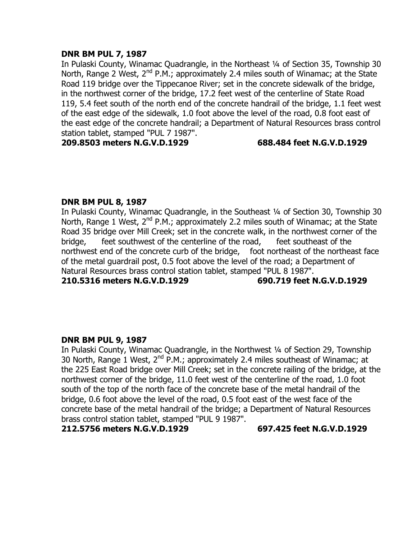# **DNR BM PUL 7, 1987**

In Pulaski County, Winamac Ouadrangle, in the Northeast 1/4 of Section 35, Township 30 North, Range 2 West,  $2^{nd}$  P.M.; approximately 2.4 miles south of Winamac; at the State Road 119 bridge over the Tippecanoe River; set in the concrete sidewalk of the bridge, in the northwest corner of the bridge, 17.2 feet west of the centerline of State Road 119, 5.4 feet south of the north end of the concrete handrail of the bridge, 1.1 feet west of the east edge of the sidewalk, 1.0 foot above the level of the road, 0.8 foot east of the east edge of the concrete handrail; a Department of Natural Resources brass control station tablet, stamped "PUL 7 1987".

**209.8503 meters N.G.V.D.1929 688.484 feet N.G.V.D.1929**

# **DNR BM PUL 8, 1987**

In Pulaski County, Winamac Quadrangle, in the Southeast ¼ of Section 30, Township 30 North, Range 1 West, 2<sup>nd</sup> P.M.; approximately 2.2 miles south of Winamac; at the State Road 35 bridge over Mill Creek; set in the concrete walk, in the northwest corner of the bridge, feet southwest of the centerline of the road, feet southeast of the northwest end of the concrete curb of the bridge, foot northeast of the northeast face of the metal guardrail post, 0.5 foot above the level of the road; a Department of Natural Resources brass control station tablet, stamped "PUL 8 1987".

**210.5316 meters N.G.V.D.1929 690.719 feet N.G.V.D.1929**

# **DNR BM PUL 9, 1987**

In Pulaski County, Winamac Quadrangle, in the Northwest ¼ of Section 29, Township 30 North, Range 1 West,  $2^{nd}$  P.M.; approximately 2.4 miles southeast of Winamac; at the 225 East Road bridge over Mill Creek; set in the concrete railing of the bridge, at the northwest corner of the bridge, 11.0 feet west of the centerline of the road, 1.0 foot south of the top of the north face of the concrete base of the metal handrail of the bridge, 0.6 foot above the level of the road, 0.5 foot east of the west face of the concrete base of the metal handrail of the bridge; a Department of Natural Resources brass control station tablet, stamped "PUL 9 1987".

#### **212.5756 meters N.G.V.D.1929 697.425 feet N.G.V.D.1929**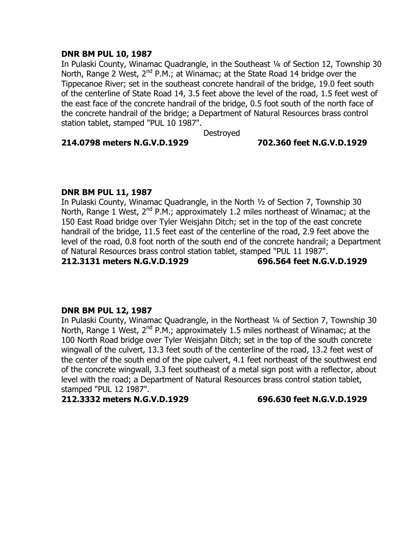# **DNR BM PUL 10, 1987**

In Pulaski County, Winamac Quadrangle, in the Southeast 1/4 of Section 12, Township 30 North, Range 2 West,  $2^{nd}$  P.M.; at Winamac; at the State Road 14 bridge over the Tippecanoe River; set in the southeast concrete handrail of the bridge, 19.0 feet south of the centerline of State Road 14, 3.5 feet above the level of the road, 1.5 feet west of the east face of the concrete handrail of the bridge, 0.5 foot south of the north face of the concrete handrail of the bridge; a Department of Natural Resources brass control station tablet, stamped "PUL 10 1987".

**Destroyed** 

# **214.0798 meters N.G.V.D.1929 702.360 feet N.G.V.D.1929**

# **DNR BM PUL 11, 1987**

In Pulaski County, Winamac Quadrangle, in the North ½ of Section 7, Township 30 North, Range 1 West,  $2^{nd}$  P.M.; approximately 1.2 miles northeast of Winamac; at the 150 East Road bridge over Tyler Weisjahn Ditch; set in the top of the east concrete handrail of the bridge, 11.5 feet east of the centerline of the road, 2.9 feet above the level of the road, 0.8 foot north of the south end of the concrete handrail; a Department of Natural Resources brass control station tablet, stamped "PUL 11 1987".

# **212.3131 meters N.G.V.D.1929 696.564 feet N.G.V.D.1929**

# **DNR BM PUL 12, 1987**

In Pulaski County, Winamac Quadrangle, in the Northeast ¼ of Section 7, Township 30 North, Range 1 West,  $2^{nd}$  P.M.; approximately 1.5 miles northeast of Winamac; at the 100 North Road bridge over Tyler Weisjahn Ditch; set in the top of the south concrete wingwall of the culvert, 13.3 feet south of the centerline of the road, 13.2 feet west of the center of the south end of the pipe culvert, 4.1 feet northeast of the southwest end of the concrete wingwall, 3.3 feet southeast of a metal sign post with a reflector, about level with the road; a Department of Natural Resources brass control station tablet, stamped "PUL 12 1987".

**212.3332 meters N.G.V.D.1929 696.630 feet N.G.V.D.1929**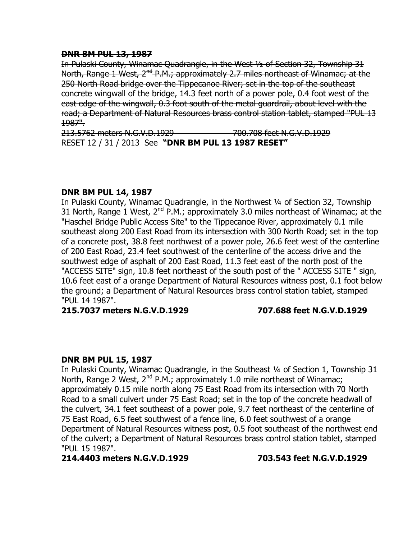# **DNR BM PUL 13, 1987**

In Pulaski County, Winamac Quadrangle, in the West ½ of Section 32, Township 31 North, Range 1 West, 2<sup>nd</sup> P.M.; approximately 2.7 miles northeast of Winamac; at the 250 North Road bridge over the Tippecanoe River; set in the top of the southeast concrete wingwall of the bridge, 14.3 feet north of a power pole, 0.4 foot west of the east edge of the wingwall, 0.3 foot south of the metal guardrail, about level with the road; a Department of Natural Resources brass control station tablet, stamped "PUL 13 1987".

213.5762 meters N.G.V.D.1929 700.708 feet N.G.V.D.1929 RESET 12 / 31 / 2013 See **"DNR BM PUL 13 1987 RESET"**

# **DNR BM PUL 14, 1987**

In Pulaski County, Winamac Quadrangle, in the Northwest ¼ of Section 32, Township 31 North, Range 1 West,  $2^{nd}$  P.M.; approximately 3.0 miles northeast of Winamac; at the "Haschel Bridge Public Access Site" to the Tippecanoe River, approximately 0.1 mile southeast along 200 East Road from its intersection with 300 North Road; set in the top of a concrete post, 38.8 feet northwest of a power pole, 26.6 feet west of the centerline of 200 East Road, 23.4 feet southwest of the centerline of the access drive and the southwest edge of asphalt of 200 East Road, 11.3 feet east of the north post of the "ACCESS SITE" sign, 10.8 feet northeast of the south post of the " ACCESS SITE " sign, 10.6 feet east of a orange Department of Natural Resources witness post, 0.1 foot below the ground; a Department of Natural Resources brass control station tablet, stamped "PUL 14 1987".

**215.7037 meters N.G.V.D.1929 707.688 feet N.G.V.D.1929**

# **DNR BM PUL 15, 1987**

In Pulaski County, Winamac Quadrangle, in the Southeast ¼ of Section 1, Township 31 North, Range 2 West,  $2^{nd}$  P.M.; approximately 1.0 mile northeast of Winamac; approximately 0.15 mile north along 75 East Road from its intersection with 70 North Road to a small culvert under 75 East Road; set in the top of the concrete headwall of the culvert, 34.1 feet southeast of a power pole, 9.7 feet northeast of the centerline of 75 East Road, 6.5 feet southwest of a fence line, 6.0 feet southwest of a orange Department of Natural Resources witness post, 0.5 foot southeast of the northwest end of the culvert; a Department of Natural Resources brass control station tablet, stamped "PUL 15 1987".

**214.4403 meters N.G.V.D.1929 703.543 feet N.G.V.D.1929**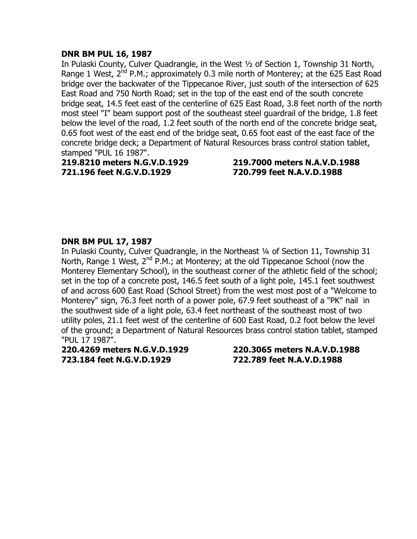# **DNR BM PUL 16, 1987**

In Pulaski County, Culver Quadrangle, in the West ½ of Section 1, Township 31 North, Range 1 West,  $2^{nd}$  P.M.; approximately 0.3 mile north of Monterey; at the 625 East Road bridge over the backwater of the Tippecanoe River, just south of the intersection of 625 East Road and 750 North Road; set in the top of the east end of the south concrete bridge seat, 14.5 feet east of the centerline of 625 East Road, 3.8 feet north of the north most steel "I" beam support post of the southeast steel guardrail of the bridge, 1.8 feet below the level of the road, 1.2 feet south of the north end of the concrete bridge seat, 0.65 foot west of the east end of the bridge seat, 0.65 foot east of the east face of the concrete bridge deck; a Department of Natural Resources brass control station tablet, stamped "PUL 16 1987".

# **219.8210 meters N.G.V.D.1929 219.7000 meters N.A.V.D.1988 721.196 feet N.G.V.D.1929 720.799 feet N.A.V.D.1988**

# **DNR BM PUL 17, 1987**

In Pulaski County, Culver Quadrangle, in the Northeast ¼ of Section 11, Township 31 North, Range 1 West,  $2^{nd}$  P.M.; at Monterey; at the old Tippecanoe School (now the Monterey Elementary School), in the southeast corner of the athletic field of the school; set in the top of a concrete post, 146.5 feet south of a light pole, 145.1 feet southwest of and across 600 East Road (School Street) from the west most post of a "Welcome to Monterey" sign, 76.3 feet north of a power pole, 67.9 feet southeast of a "PK" nail in the southwest side of a light pole, 63.4 feet northeast of the southeast most of two utility poles, 21.1 feet west of the centerline of 600 East Road, 0.2 foot below the level of the ground; a Department of Natural Resources brass control station tablet, stamped "PUL 17 1987".

**220.4269 meters N.G.V.D.1929 220.3065 meters N.A.V.D.1988 723.184 feet N.G.V.D.1929 722.789 feet N.A.V.D.1988**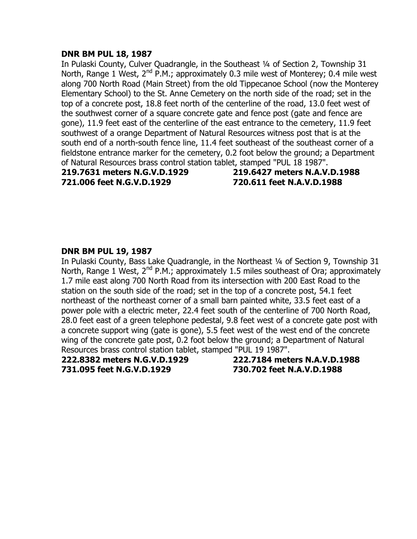# **DNR BM PUL 18, 1987**

In Pulaski County, Culver Quadrangle, in the Southeast 1/4 of Section 2, Township 31 North, Range 1 West,  $2^{nd}$  P.M.; approximately 0.3 mile west of Monterey; 0.4 mile west along 700 North Road (Main Street) from the old Tippecanoe School (now the Monterey Elementary School) to the St. Anne Cemetery on the north side of the road; set in the top of a concrete post, 18.8 feet north of the centerline of the road, 13.0 feet west of the southwest corner of a square concrete gate and fence post (gate and fence are gone), 11.9 feet east of the centerline of the east entrance to the cemetery, 11.9 feet southwest of a orange Department of Natural Resources witness post that is at the south end of a north-south fence line, 11.4 feet southeast of the southeast corner of a fieldstone entrance marker for the cemetery, 0.2 foot below the ground; a Department of Natural Resources brass control station tablet, stamped "PUL 18 1987".

**219.7631 meters N.G.V.D.1929 219.6427 meters N.A.V.D.1988 721.006 feet N.G.V.D.1929 720.611 feet N.A.V.D.1988**

# **DNR BM PUL 19, 1987**

In Pulaski County, Bass Lake Quadrangle, in the Northeast ¼ of Section 9, Township 31 North, Range 1 West,  $2^{nd}$  P.M.; approximately 1.5 miles southeast of Ora; approximately 1.7 mile east along 700 North Road from its intersection with 200 East Road to the station on the south side of the road; set in the top of a concrete post, 54.1 feet northeast of the northeast corner of a small barn painted white, 33.5 feet east of a power pole with a electric meter, 22.4 feet south of the centerline of 700 North Road, 28.0 feet east of a green telephone pedestal, 9.8 feet west of a concrete gate post with a concrete support wing (gate is gone), 5.5 feet west of the west end of the concrete wing of the concrete gate post, 0.2 foot below the ground; a Department of Natural Resources brass control station tablet, stamped "PUL 19 1987".

**731.095 feet N.G.V.D.1929 730.702 feet N.A.V.D.1988**

**222.8382 meters N.G.V.D.1929 222.7184 meters N.A.V.D.1988**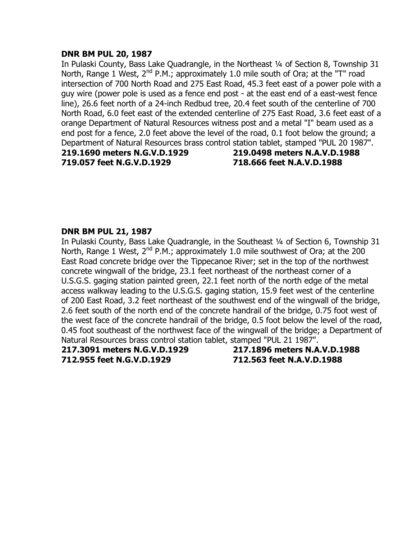### **DNR BM PUL 20, 1987**

In Pulaski County, Bass Lake Ouadrangle, in the Northeast 1/4 of Section 8, Township 31 North, Range 1 West, 2<sup>nd</sup> P.M.; approximately 1.0 mile south of Ora; at the "T" road intersection of 700 North Road and 275 East Road, 45.3 feet east of a power pole with a guy wire (power pole is used as a fence end post - at the east end of a east-west fence line), 26.6 feet north of a 24-inch Redbud tree, 20.4 feet south of the centerline of 700 North Road, 6.0 feet east of the extended centerline of 275 East Road, 3.6 feet east of a orange Department of Natural Resources witness post and a metal "I" beam used as a end post for a fence, 2.0 feet above the level of the road, 0.1 foot below the ground; a Department of Natural Resources brass control station tablet, stamped "PUL 20 1987".

**719.057 feet N.G.V.D.1929 718.666 feet N.A.V.D.1988**

**219.1690 meters N.G.V.D.1929 219.0498 meters N.A.V.D.1988**

#### **DNR BM PUL 21, 1987**

In Pulaski County, Bass Lake Quadrangle, in the Southeast 1/4 of Section 6, Township 31 North, Range 1 West,  $2^{nd}$  P.M.; approximately 1.0 mile southwest of Ora; at the 200 East Road concrete bridge over the Tippecanoe River; set in the top of the northwest concrete wingwall of the bridge, 23.1 feet northeast of the northeast corner of a U.S.G.S. gaging station painted green, 22.1 feet north of the north edge of the metal access walkway leading to the U.S.G.S. gaging station, 15.9 feet west of the centerline of 200 East Road, 3.2 feet northeast of the southwest end of the wingwall of the bridge, 2.6 feet south of the north end of the concrete handrail of the bridge, 0.75 foot west of the west face of the concrete handrail of the bridge, 0.5 foot below the level of the road, 0.45 foot southeast of the northwest face of the wingwall of the bridge; a Department of Natural Resources brass control station tablet, stamped "PUL 21 1987".

**217.3091 meters N.G.V.D.1929 217.1896 meters N.A.V.D.1988 712.955 feet N.G.V.D.1929 712.563 feet N.A.V.D.1988**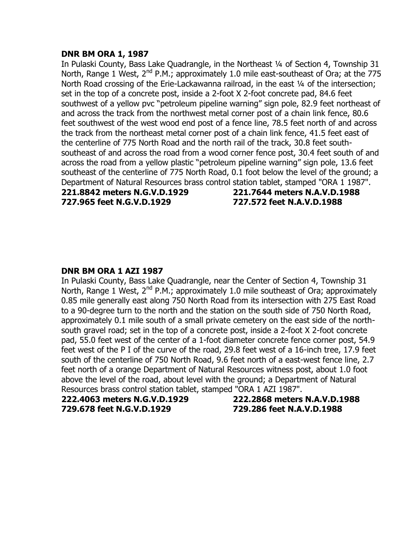#### **DNR BM ORA 1, 1987**

In Pulaski County, Bass Lake Quadrangle, in the Northeast 1/4 of Section 4, Township 31 North, Range 1 West,  $2^{nd}$  P.M.; approximately 1.0 mile east-southeast of Ora; at the 775 North Road crossing of the Erie-Lackawanna railroad, in the east 1/4 of the intersection; set in the top of a concrete post, inside a 2-foot X 2-foot concrete pad, 84.6 feet southwest of a yellow pvc "petroleum pipeline warning" sign pole, 82.9 feet northeast of and across the track from the northwest metal corner post of a chain link fence, 80.6 feet southwest of the west wood end post of a fence line, 78.5 feet north of and across the track from the northeast metal corner post of a chain link fence, 41.5 feet east of the centerline of 775 North Road and the north rail of the track, 30.8 feet southsoutheast of and across the road from a wood corner fence post, 30.4 feet south of and across the road from a yellow plastic "petroleum pipeline warning" sign pole, 13.6 feet southeast of the centerline of 775 North Road, 0.1 foot below the level of the ground; a Department of Natural Resources brass control station tablet, stamped "ORA 1 1987". **221.8842 meters N.G.V.D.1929 221.7644 meters N.A.V.D.1988**

**727.965 feet N.G.V.D.1929 727.572 feet N.A.V.D.1988**

# **DNR BM ORA 1 AZI 1987**

In Pulaski County, Bass Lake Quadrangle, near the Center of Section 4, Township 31 North, Range 1 West,  $2^{nd}$  P.M.; approximately 1.0 mile southeast of Ora; approximately 0.85 mile generally east along 750 North Road from its intersection with 275 East Road to a 90-degree turn to the north and the station on the south side of 750 North Road, approximately 0.1 mile south of a small private cemetery on the east side of the northsouth gravel road; set in the top of a concrete post, inside a 2-foot X 2-foot concrete pad, 55.0 feet west of the center of a 1-foot diameter concrete fence corner post, 54.9 feet west of the P I of the curve of the road, 29.8 feet west of a 16-inch tree, 17.9 feet south of the centerline of 750 North Road, 9.6 feet north of a east-west fence line, 2.7 feet north of a orange Department of Natural Resources witness post, about 1.0 foot above the level of the road, about level with the ground; a Department of Natural Resources brass control station tablet, stamped "ORA 1 AZI 1987".

**222.4063 meters N.G.V.D.1929 222.2868 meters N.A.V.D.1988 729.678 feet N.G.V.D.1929 729.286 feet N.A.V.D.1988**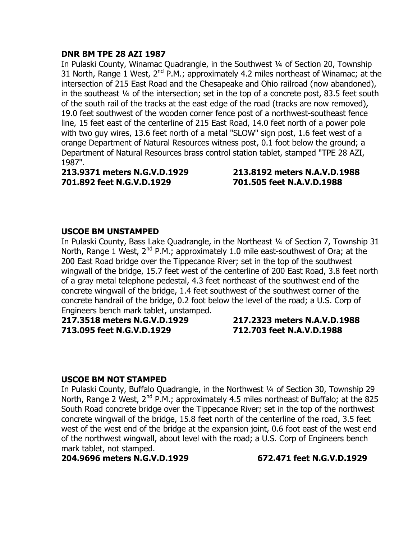# **DNR BM TPE 28 AZI 1987**

In Pulaski County, Winamac Quadrangle, in the Southwest 1/4 of Section 20, Township 31 North, Range 1 West,  $2^{nd}$  P.M.; approximately 4.2 miles northeast of Winamac; at the intersection of 215 East Road and the Chesapeake and Ohio railroad (now abandoned), in the southeast ¼ of the intersection; set in the top of a concrete post, 83.5 feet south of the south rail of the tracks at the east edge of the road (tracks are now removed), 19.0 feet southwest of the wooden corner fence post of a northwest-southeast fence line, 15 feet east of the centerline of 215 East Road, 14.0 feet north of a power pole with two guy wires, 13.6 feet north of a metal "SLOW" sign post, 1.6 feet west of a orange Department of Natural Resources witness post, 0.1 foot below the ground; a Department of Natural Resources brass control station tablet, stamped "TPE 28 AZI, 1987".

**213.9371 meters N.G.V.D.1929 213.8192 meters N.A.V.D.1988 701.892 feet N.G.V.D.1929 701.505 feet N.A.V.D.1988**

# **USCOE BM UNSTAMPED**

In Pulaski County, Bass Lake Quadrangle, in the Northeast 1/4 of Section 7, Township 31 North, Range 1 West,  $2^{nd}$  P.M.; approximately 1.0 mile east-southwest of Ora; at the 200 East Road bridge over the Tippecanoe River; set in the top of the southwest wingwall of the bridge, 15.7 feet west of the centerline of 200 East Road, 3.8 feet north of a gray metal telephone pedestal, 4.3 feet northeast of the southwest end of the concrete wingwall of the bridge, 1.4 feet southwest of the southwest corner of the concrete handrail of the bridge, 0.2 foot below the level of the road; a U.S. Corp of Engineers bench mark tablet, unstamped.

**217.3518 meters N.G.V.D.1929 217.2323 meters N.A.V.D.1988 713.095 feet N.G.V.D.1929 712.703 feet N.A.V.D.1988**

# **USCOE BM NOT STAMPED**

In Pulaski County, Buffalo Quadrangle, in the Northwest ¼ of Section 30, Township 29 North, Range 2 West,  $2^{nd}$  P.M.; approximately 4.5 miles northeast of Buffalo; at the 825 South Road concrete bridge over the Tippecanoe River; set in the top of the northwest concrete wingwall of the bridge, 15.8 feet north of the centerline of the road, 3.5 feet west of the west end of the bridge at the expansion joint, 0.6 foot east of the west end of the northwest wingwall, about level with the road; a U.S. Corp of Engineers bench mark tablet, not stamped.

**204.9696 meters N.G.V.D.1929 672.471 feet N.G.V.D.1929**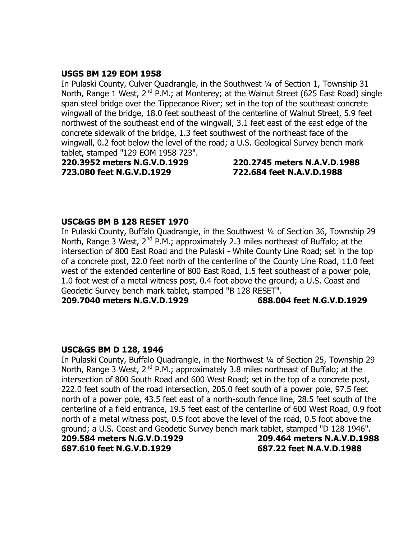# **USGS BM 129 EOM 1958**

In Pulaski County, Culver Quadrangle, in the Southwest ¼ of Section 1, Township 31 North, Range 1 West,  $2^{nd}$  P.M.; at Monterey; at the Walnut Street (625 East Road) single span steel bridge over the Tippecanoe River; set in the top of the southeast concrete wingwall of the bridge, 18.0 feet southeast of the centerline of Walnut Street, 5.9 feet northwest of the southeast end of the wingwall, 3.1 feet east of the east edge of the concrete sidewalk of the bridge, 1.3 feet southwest of the northeast face of the wingwall, 0.2 foot below the level of the road; a U.S. Geological Survey bench mark tablet, stamped "129 EOM 1958 723".

**220.3952 meters N.G.V.D.1929 220.2745 meters N.A.V.D.1988 723.080 feet N.G.V.D.1929 722.684 feet N.A.V.D.1988**

# **USC&GS BM B 128 RESET 1970**

In Pulaski County, Buffalo Quadrangle, in the Southwest ¼ of Section 36, Township 29 North, Range 3 West,  $2^{nd}$  P.M.; approximately 2.3 miles northeast of Buffalo; at the intersection of 800 East Road and the Pulaski - White County Line Road; set in the top of a concrete post, 22.0 feet north of the centerline of the County Line Road, 11.0 feet west of the extended centerline of 800 East Road, 1.5 feet southeast of a power pole, 1.0 foot west of a metal witness post, 0.4 foot above the ground; a U.S. Coast and Geodetic Survey bench mark tablet, stamped "B 128 RESET".

**209.7040 meters N.G.V.D.1929 688.004 feet N.G.V.D.1929**

# **USC&GS BM D 128, 1946**

In Pulaski County, Buffalo Quadrangle, in the Northwest ¼ of Section 25, Township 29 North, Range 3 West,  $2^{nd}$  P.M.; approximately 3.8 miles northeast of Buffalo; at the intersection of 800 South Road and 600 West Road; set in the top of a concrete post, 222.0 feet south of the road intersection, 205.0 feet south of a power pole, 97.5 feet north of a power pole, 43.5 feet east of a north-south fence line, 28.5 feet south of the centerline of a field entrance, 19.5 feet east of the centerline of 600 West Road, 0.9 foot north of a metal witness post, 0.5 foot above the level of the road, 0.5 foot above the ground; a U.S. Coast and Geodetic Survey bench mark tablet, stamped "D 128 1946".

**209.584 meters N.G.V.D.1929 209.464 meters N.A.V.D.1988 687.610 feet N.G.V.D.1929 687.22 feet N.A.V.D.1988**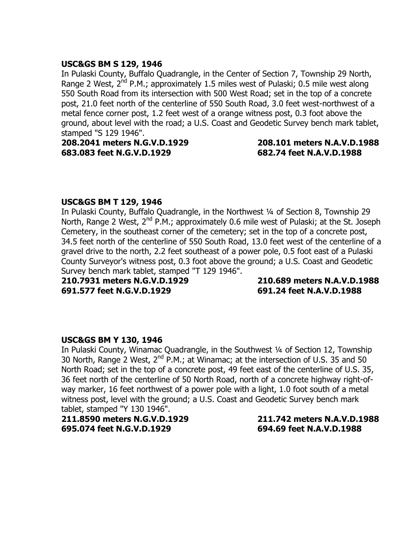# **USC&GS BM S 129, 1946**

In Pulaski County, Buffalo Quadrangle, in the Center of Section 7, Township 29 North, Range 2 West,  $2^{nd}$  P.M.; approximately 1.5 miles west of Pulaski; 0.5 mile west along 550 South Road from its intersection with 500 West Road; set in the top of a concrete post, 21.0 feet north of the centerline of 550 South Road, 3.0 feet west-northwest of a metal fence corner post, 1.2 feet west of a orange witness post, 0.3 foot above the ground, about level with the road; a U.S. Coast and Geodetic Survey bench mark tablet, stamped "S 129 1946".

**208.2041 meters N.G.V.D.1929 208.101 meters N.A.V.D.1988 683.083 feet N.G.V.D.1929 682.74 feet N.A.V.D.1988**

# **USC&GS BM T 129, 1946**

In Pulaski County, Buffalo Quadrangle, in the Northwest ¼ of Section 8, Township 29 North, Range 2 West,  $2^{nd}$  P.M.; approximately 0.6 mile west of Pulaski; at the St. Joseph Cemetery, in the southeast corner of the cemetery; set in the top of a concrete post, 34.5 feet north of the centerline of 550 South Road, 13.0 feet west of the centerline of a gravel drive to the north, 2.2 feet southeast of a power pole, 0.5 foot east of a Pulaski County Surveyor's witness post, 0.3 foot above the ground; a U.S. Coast and Geodetic Survey bench mark tablet, stamped "T 129 1946".

**691.577 feet N.G.V.D.1929 691.24 feet N.A.V.D.1988**

**210.7931 meters N.G.V.D.1929 210.689 meters N.A.V.D.1988**

# **USC&GS BM Y 130, 1946**

In Pulaski County, Winamac Quadrangle, in the Southwest ¼ of Section 12, Township 30 North, Range 2 West, 2<sup>nd</sup> P.M.; at Winamac; at the intersection of U.S. 35 and 50 North Road; set in the top of a concrete post, 49 feet east of the centerline of U.S. 35, 36 feet north of the centerline of 50 North Road, north of a concrete highway right-ofway marker, 16 feet northwest of a power pole with a light, 1.0 foot south of a metal witness post, level with the ground; a U.S. Coast and Geodetic Survey bench mark tablet, stamped "Y 130 1946".

**211.8590 meters N.G.V.D.1929 211.742 meters N.A.V.D.1988 695.074 feet N.G.V.D.1929 694.69 feet N.A.V.D.1988**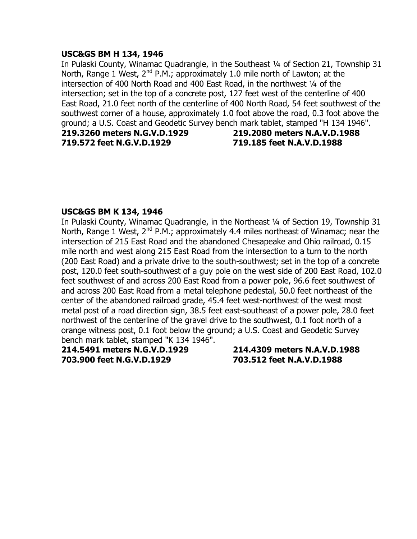#### **USC&GS BM H 134, 1946**

In Pulaski County, Winamac Quadrangle, in the Southeast ¼ of Section 21, Township 31 North, Range 1 West,  $2^{nd}$  P.M.; approximately 1.0 mile north of Lawton; at the intersection of 400 North Road and 400 East Road, in the northwest 1/4 of the intersection; set in the top of a concrete post, 127 feet west of the centerline of 400 East Road, 21.0 feet north of the centerline of 400 North Road, 54 feet southwest of the southwest corner of a house, approximately 1.0 foot above the road, 0.3 foot above the ground; a U.S. Coast and Geodetic Survey bench mark tablet, stamped "H 134 1946". **219.3260 meters N.G.V.D.1929 219.2080 meters N.A.V.D.1988**

**719.572 feet N.G.V.D.1929 719.185 feet N.A.V.D.1988**

# **USC&GS BM K 134, 1946**

In Pulaski County, Winamac Quadrangle, in the Northeast ¼ of Section 19, Township 31 North, Range 1 West,  $2^{nd}$  P.M.; approximately 4.4 miles northeast of Winamac; near the intersection of 215 East Road and the abandoned Chesapeake and Ohio railroad, 0.15 mile north and west along 215 East Road from the intersection to a turn to the north (200 East Road) and a private drive to the south-southwest; set in the top of a concrete post, 120.0 feet south-southwest of a guy pole on the west side of 200 East Road, 102.0 feet southwest of and across 200 East Road from a power pole, 96.6 feet southwest of and across 200 East Road from a metal telephone pedestal, 50.0 feet northeast of the center of the abandoned railroad grade, 45.4 feet west-northwest of the west most metal post of a road direction sign, 38.5 feet east-southeast of a power pole, 28.0 feet northwest of the centerline of the gravel drive to the southwest, 0.1 foot north of a orange witness post, 0.1 foot below the ground; a U.S. Coast and Geodetic Survey bench mark tablet, stamped "K 134 1946".

**214.5491 meters N.G.V.D.1929 214.4309 meters N.A.V.D.1988 703.900 feet N.G.V.D.1929 703.512 feet N.A.V.D.1988**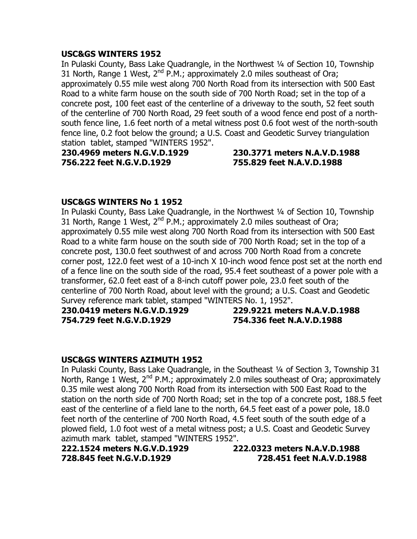# **USC&GS WINTERS 1952**

In Pulaski County, Bass Lake Quadrangle, in the Northwest ¼ of Section 10, Township 31 North, Range 1 West,  $2^{nd}$  P.M.; approximately 2.0 miles southeast of Ora; approximately 0.55 mile west along 700 North Road from its intersection with 500 East Road to a white farm house on the south side of 700 North Road; set in the top of a concrete post, 100 feet east of the centerline of a driveway to the south, 52 feet south of the centerline of 700 North Road, 29 feet south of a wood fence end post of a northsouth fence line, 1.6 feet north of a metal witness post 0.6 foot west of the north-south fence line, 0.2 foot below the ground; a U.S. Coast and Geodetic Survey triangulation station tablet, stamped "WINTERS 1952".

**230.4969 meters N.G.V.D.1929 230.3771 meters N.A.V.D.1988 756.222 feet N.G.V.D.1929 755.829 feet N.A.V.D.1988**

# **USC&GS WINTERS No 1 1952**

In Pulaski County, Bass Lake Quadrangle, in the Northwest ¼ of Section 10, Township 31 North, Range 1 West,  $2^{nd}$  P.M.; approximately 2.0 miles southeast of Ora; approximately 0.55 mile west along 700 North Road from its intersection with 500 East Road to a white farm house on the south side of 700 North Road; set in the top of a concrete post, 130.0 feet southwest of and across 700 North Road from a concrete corner post, 122.0 feet west of a 10-inch X 10-inch wood fence post set at the north end of a fence line on the south side of the road, 95.4 feet southeast of a power pole with a transformer, 62.0 feet east of a 8-inch cutoff power pole, 23.0 feet south of the centerline of 700 North Road, about level with the ground; a U.S. Coast and Geodetic Survey reference mark tablet, stamped "WINTERS No. 1, 1952".

**230.0419 meters N.G.V.D.1929 229.9221 meters N.A.V.D.1988 754.729 feet N.G.V.D.1929 754.336 feet N.A.V.D.1988**

# **USC&GS WINTERS AZIMUTH 1952**

In Pulaski County, Bass Lake Quadrangle, in the Southeast ¼ of Section 3, Township 31 North, Range 1 West,  $2^{nd}$  P.M.; approximately 2.0 miles southeast of Ora; approximately 0.35 mile west along 700 North Road from its intersection with 500 East Road to the station on the north side of 700 North Road; set in the top of a concrete post, 188.5 feet east of the centerline of a field lane to the north, 64.5 feet east of a power pole, 18.0 feet north of the centerline of 700 North Road, 4.5 feet south of the south edge of a plowed field, 1.0 foot west of a metal witness post; a U.S. Coast and Geodetic Survey azimuth mark tablet, stamped "WINTERS 1952".

**222.1524 meters N.G.V.D.1929 222.0323 meters N.A.V.D.1988 728.845 feet N.G.V.D.1929 728.451 feet N.A.V.D.1988**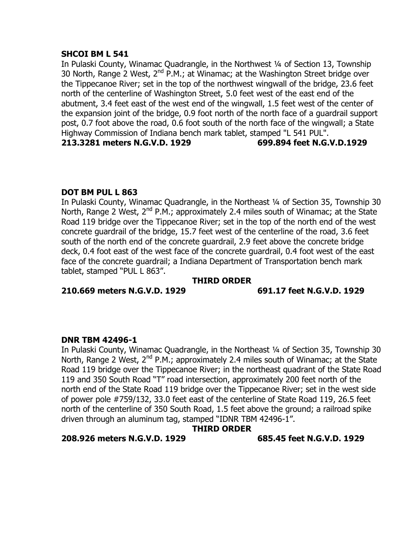# **SHCOI BM L 541**

In Pulaski County, Winamac Quadrangle, in the Northwest ¼ of Section 13, Township 30 North, Range 2 West,  $2^{nd}$  P.M.; at Winamac; at the Washington Street bridge over the Tippecanoe River; set in the top of the northwest wingwall of the bridge, 23.6 feet north of the centerline of Washington Street, 5.0 feet west of the east end of the abutment, 3.4 feet east of the west end of the wingwall, 1.5 feet west of the center of the expansion joint of the bridge, 0.9 foot north of the north face of a guardrail support post, 0.7 foot above the road, 0.6 foot south of the north face of the wingwall; a State Highway Commission of Indiana bench mark tablet, stamped "L 541 PUL". **213.3281 meters N.G.V.D. 1929 699.894 feet N.G.V.D.1929**

# **DOT BM PUL L 863**

In Pulaski County, Winamac Quadrangle, in the Northeast 1/4 of Section 35, Township 30 North, Range 2 West,  $2^{nd}$  P.M.; approximately 2.4 miles south of Winamac; at the State Road 119 bridge over the Tippecanoe River; set in the top of the north end of the west concrete guardrail of the bridge, 15.7 feet west of the centerline of the road, 3.6 feet south of the north end of the concrete guardrail, 2.9 feet above the concrete bridge deck, 0.4 foot east of the west face of the concrete guardrail, 0.4 foot west of the east face of the concrete guardrail; a Indiana Department of Transportation bench mark tablet, stamped "PUL L 863".

# **THIRD ORDER**

**210.669 meters N.G.V.D. 1929 691.17 feet N.G.V.D. 1929**

# **DNR TBM 42496-1**

In Pulaski County, Winamac Quadrangle, in the Northeast ¼ of Section 35, Township 30 North, Range 2 West,  $2^{nd}$  P.M.; approximately 2.4 miles south of Winamac; at the State Road 119 bridge over the Tippecanoe River; in the northeast quadrant of the State Road 119 and 350 South Road "T" road intersection, approximately 200 feet north of the north end of the State Road 119 bridge over the Tippecanoe River; set in the west side of power pole #759/132, 33.0 feet east of the centerline of State Road 119, 26.5 feet north of the centerline of 350 South Road, 1.5 feet above the ground; a railroad spike driven through an aluminum tag, stamped "IDNR TBM 42496-1".

# **THIRD ORDER**

# **208.926 meters N.G.V.D. 1929 685.45 feet N.G.V.D. 1929**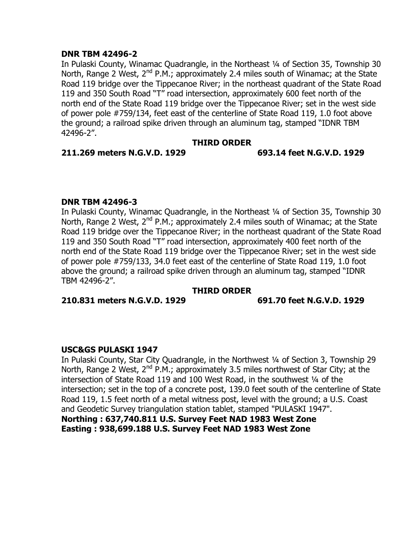# **DNR TBM 42496-2**

In Pulaski County, Winamac Quadrangle, in the Northeast ¼ of Section 35, Township 30 North, Range 2 West, 2<sup>nd</sup> P.M.; approximately 2.4 miles south of Winamac; at the State Road 119 bridge over the Tippecanoe River; in the northeast quadrant of the State Road 119 and 350 South Road "T" road intersection, approximately 600 feet north of the north end of the State Road 119 bridge over the Tippecanoe River; set in the west side of power pole #759/134, feet east of the centerline of State Road 119, 1.0 foot above the ground; a railroad spike driven through an aluminum tag, stamped "IDNR TBM 42496-2".

# **THIRD ORDER**

#### **211.269 meters N.G.V.D. 1929 693.14 feet N.G.V.D. 1929**

# **DNR TBM 42496-3**

In Pulaski County, Winamac Quadrangle, in the Northeast 1/4 of Section 35, Township 30 North, Range 2 West,  $2^{nd}$  P.M.; approximately 2.4 miles south of Winamac; at the State Road 119 bridge over the Tippecanoe River; in the northeast quadrant of the State Road 119 and 350 South Road "T" road intersection, approximately 400 feet north of the north end of the State Road 119 bridge over the Tippecanoe River; set in the west side of power pole #759/133, 34.0 feet east of the centerline of State Road 119, 1.0 foot above the ground; a railroad spike driven through an aluminum tag, stamped "IDNR TBM 42496-2".

#### **THIRD ORDER**

**210.831 meters N.G.V.D. 1929 691.70 feet N.G.V.D. 1929**

# **USC&GS PULASKI 1947**

In Pulaski County, Star City Quadrangle, in the Northwest ¼ of Section 3, Township 29 North, Range 2 West,  $2^{nd}$  P.M.; approximately 3.5 miles northwest of Star City; at the intersection of State Road 119 and 100 West Road, in the southwest 1/4 of the intersection; set in the top of a concrete post, 139.0 feet south of the centerline of State Road 119, 1.5 feet north of a metal witness post, level with the ground; a U.S. Coast and Geodetic Survey triangulation station tablet, stamped "PULASKI 1947".

**Northing : 637,740.811 U.S. Survey Feet NAD 1983 West Zone Easting : 938,699.188 U.S. Survey Feet NAD 1983 West Zone**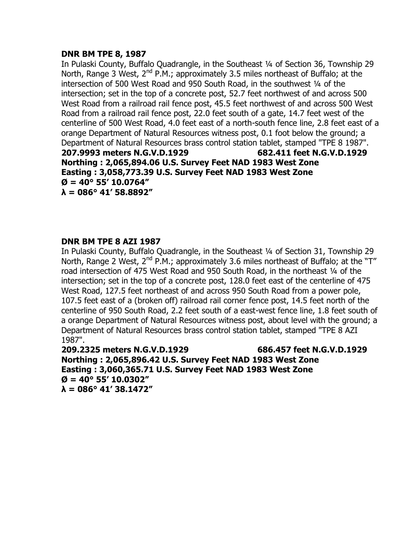# **DNR BM TPE 8, 1987**

In Pulaski County, Buffalo Quadrangle, in the Southeast ¼ of Section 36, Township 29 North, Range 3 West,  $2^{nd}$  P.M.; approximately 3.5 miles northeast of Buffalo; at the intersection of 500 West Road and 950 South Road, in the southwest 1/4 of the intersection; set in the top of a concrete post, 52.7 feet northwest of and across 500 West Road from a railroad rail fence post, 45.5 feet northwest of and across 500 West Road from a railroad rail fence post, 22.0 feet south of a gate, 14.7 feet west of the centerline of 500 West Road, 4.0 feet east of a north-south fence line, 2.8 feet east of a orange Department of Natural Resources witness post, 0.1 foot below the ground; a Department of Natural Resources brass control station tablet, stamped "TPE 8 1987". **207.9993 meters N.G.V.D.1929 682.411 feet N.G.V.D.1929 Northing : 2,065,894.06 U.S. Survey Feet NAD 1983 West Zone Easting : 3,058,773.39 U.S. Survey Feet NAD 1983 West Zone Ø = 40° 55' 10.0764" λ = 086° 41' 58.8892"**

# **DNR BM TPE 8 AZI 1987**

In Pulaski County, Buffalo Quadrangle, in the Southeast ¼ of Section 31, Township 29 North, Range 2 West,  $2^{nd}$  P.M.; approximately 3.6 miles northeast of Buffalo; at the "T" road intersection of 475 West Road and 950 South Road, in the northeast 1/4 of the intersection; set in the top of a concrete post, 128.0 feet east of the centerline of 475 West Road, 127.5 feet northeast of and across 950 South Road from a power pole, 107.5 feet east of a (broken off) railroad rail corner fence post, 14.5 feet north of the centerline of 950 South Road, 2.2 feet south of a east-west fence line, 1.8 feet south of a orange Department of Natural Resources witness post, about level with the ground; a Department of Natural Resources brass control station tablet, stamped "TPE 8 AZI 1987".

**209.2325 meters N.G.V.D.1929 686.457 feet N.G.V.D.1929 Northing : 2,065,896.42 U.S. Survey Feet NAD 1983 West Zone Easting : 3,060,365.71 U.S. Survey Feet NAD 1983 West Zone Ø = 40° 55' 10.0302" λ = 086° 41' 38.1472"**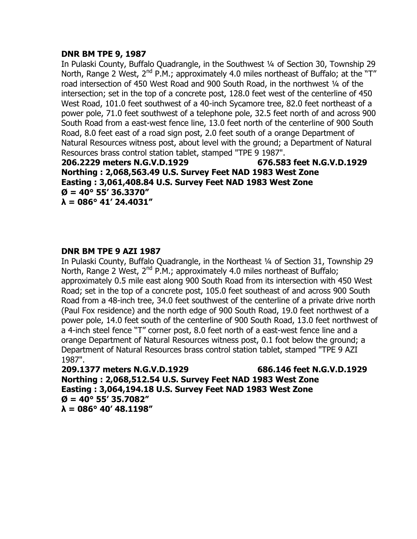# **DNR BM TPE 9, 1987**

In Pulaski County, Buffalo Quadrangle, in the Southwest ¼ of Section 30, Township 29 North, Range 2 West,  $2^{nd}$  P.M.; approximately 4.0 miles northeast of Buffalo; at the "T" road intersection of 450 West Road and 900 South Road, in the northwest 1/4 of the intersection; set in the top of a concrete post, 128.0 feet west of the centerline of 450 West Road, 101.0 feet southwest of a 40-inch Sycamore tree, 82.0 feet northeast of a power pole, 71.0 feet southwest of a telephone pole, 32.5 feet north of and across 900 South Road from a east-west fence line, 13.0 feet north of the centerline of 900 South Road, 8.0 feet east of a road sign post, 2.0 feet south of a orange Department of Natural Resources witness post, about level with the ground; a Department of Natural Resources brass control station tablet, stamped "TPE 9 1987".

**206.2229 meters N.G.V.D.1929 676.583 feet N.G.V.D.1929 Northing : 2,068,563.49 U.S. Survey Feet NAD 1983 West Zone Easting : 3,061,408.84 U.S. Survey Feet NAD 1983 West Zone Ø = 40° 55' 36.3370" λ = 086° 41' 24.4031"**

# **DNR BM TPE 9 AZI 1987**

In Pulaski County, Buffalo Quadrangle, in the Northeast ¼ of Section 31, Township 29 North, Range 2 West,  $2^{nd}$  P.M.; approximately 4.0 miles northeast of Buffalo; approximately 0.5 mile east along 900 South Road from its intersection with 450 West Road; set in the top of a concrete post, 105.0 feet southeast of and across 900 South Road from a 48-inch tree, 34.0 feet southwest of the centerline of a private drive north (Paul Fox residence) and the north edge of 900 South Road, 19.0 feet northwest of a power pole, 14.0 feet south of the centerline of 900 South Road, 13.0 feet northwest of a 4-inch steel fence "T" corner post, 8.0 feet north of a east-west fence line and a orange Department of Natural Resources witness post, 0.1 foot below the ground; a Department of Natural Resources brass control station tablet, stamped "TPE 9 AZI 1987".

**209.1377 meters N.G.V.D.1929 686.146 feet N.G.V.D.1929 Northing : 2,068,512.54 U.S. Survey Feet NAD 1983 West Zone Easting : 3,064,194.18 U.S. Survey Feet NAD 1983 West Zone Ø = 40° 55' 35.7082" λ = 086° 40' 48.1198"**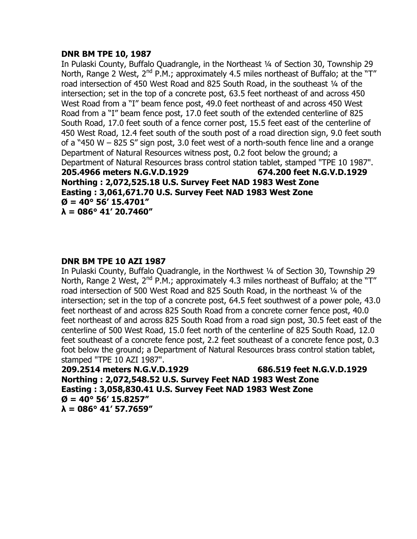# **DNR BM TPE 10, 1987**

In Pulaski County, Buffalo Quadrangle, in the Northeast ¼ of Section 30, Township 29 North, Range 2 West,  $2^{nd}$  P.M.; approximately 4.5 miles northeast of Buffalo; at the "T" road intersection of 450 West Road and 825 South Road, in the southeast 1/4 of the intersection; set in the top of a concrete post, 63.5 feet northeast of and across 450 West Road from a "I" beam fence post, 49.0 feet northeast of and across 450 West Road from a "I" beam fence post, 17.0 feet south of the extended centerline of 825 South Road, 17.0 feet south of a fence corner post, 15.5 feet east of the centerline of 450 West Road, 12.4 feet south of the south post of a road direction sign, 9.0 feet south of a "450 W – 825 S" sign post, 3.0 feet west of a north-south fence line and a orange Department of Natural Resources witness post, 0.2 foot below the ground; a Department of Natural Resources brass control station tablet, stamped "TPE 10 1987". **205.4966 meters N.G.V.D.1929 674.200 feet N.G.V.D.1929 Northing : 2,072,525.18 U.S. Survey Feet NAD 1983 West Zone Easting : 3,061,671.70 U.S. Survey Feet NAD 1983 West Zone Ø = 40° 56' 15.4701" λ = 086° 41' 20.7460"**

# **DNR BM TPE 10 AZI 1987**

In Pulaski County, Buffalo Quadrangle, in the Northwest ¼ of Section 30, Township 29 North, Range 2 West,  $2^{nd}$  P.M.; approximately 4.3 miles northeast of Buffalo; at the "T" road intersection of 500 West Road and 825 South Road, in the northeast ¼ of the intersection; set in the top of a concrete post, 64.5 feet southwest of a power pole, 43.0 feet northeast of and across 825 South Road from a concrete corner fence post, 40.0 feet northeast of and across 825 South Road from a road sign post, 30.5 feet east of the centerline of 500 West Road, 15.0 feet north of the centerline of 825 South Road, 12.0 feet southeast of a concrete fence post, 2.2 feet southeast of a concrete fence post, 0.3 foot below the ground; a Department of Natural Resources brass control station tablet, stamped "TPE 10 AZI 1987".

**209.2514 meters N.G.V.D.1929 686.519 feet N.G.V.D.1929 Northing : 2,072,548.52 U.S. Survey Feet NAD 1983 West Zone Easting : 3,058,830.41 U.S. Survey Feet NAD 1983 West Zone Ø = 40° 56' 15.8257" λ = 086° 41' 57.7659"**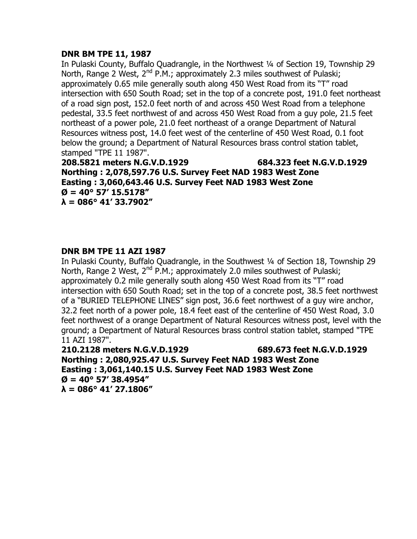# **DNR BM TPE 11, 1987**

In Pulaski County, Buffalo Quadrangle, in the Northwest ¼ of Section 19, Township 29 North, Range 2 West,  $2^{nd}$  P.M.; approximately 2.3 miles southwest of Pulaski; approximately 0.65 mile generally south along 450 West Road from its "T" road intersection with 650 South Road; set in the top of a concrete post, 191.0 feet northeast of a road sign post, 152.0 feet north of and across 450 West Road from a telephone pedestal, 33.5 feet northwest of and across 450 West Road from a guy pole, 21.5 feet northeast of a power pole, 21.0 feet northeast of a orange Department of Natural Resources witness post, 14.0 feet west of the centerline of 450 West Road, 0.1 foot below the ground; a Department of Natural Resources brass control station tablet, stamped "TPE 11 1987".

**208.5821 meters N.G.V.D.1929 684.323 feet N.G.V.D.1929 Northing : 2,078,597.76 U.S. Survey Feet NAD 1983 West Zone Easting : 3,060,643.46 U.S. Survey Feet NAD 1983 West Zone Ø = 40° 57' 15.5178" λ = 086° 41' 33.7902"**

# **DNR BM TPE 11 AZI 1987**

In Pulaski County, Buffalo Quadrangle, in the Southwest ¼ of Section 18, Township 29 North, Range 2 West,  $2^{nd}$  P.M.; approximately 2.0 miles southwest of Pulaski; approximately 0.2 mile generally south along 450 West Road from its "T" road intersection with 650 South Road; set in the top of a concrete post, 38.5 feet northwest of a "BURIED TELEPHONE LINES" sign post, 36.6 feet northwest of a guy wire anchor, 32.2 feet north of a power pole, 18.4 feet east of the centerline of 450 West Road, 3.0 feet northwest of a orange Department of Natural Resources witness post, level with the ground; a Department of Natural Resources brass control station tablet, stamped "TPE 11 AZI 1987".

**210.2128 meters N.G.V.D.1929 689.673 feet N.G.V.D.1929 Northing : 2,080,925.47 U.S. Survey Feet NAD 1983 West Zone Easting : 3,061,140.15 U.S. Survey Feet NAD 1983 West Zone Ø = 40° 57' 38.4954" λ = 086° 41' 27.1806"**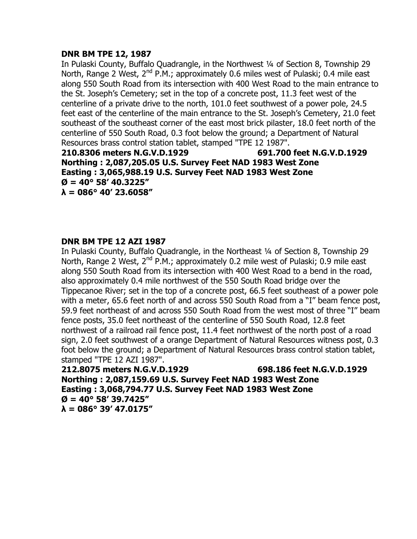# **DNR BM TPE 12, 1987**

In Pulaski County, Buffalo Quadrangle, in the Northwest ¼ of Section 8, Township 29 North, Range 2 West, 2<sup>nd</sup> P.M.; approximately 0.6 miles west of Pulaski; 0.4 mile east along 550 South Road from its intersection with 400 West Road to the main entrance to the St. Joseph's Cemetery; set in the top of a concrete post, 11.3 feet west of the centerline of a private drive to the north, 101.0 feet southwest of a power pole, 24.5 feet east of the centerline of the main entrance to the St. Joseph's Cemetery, 21.0 feet southeast of the southeast corner of the east most brick pilaster, 18.0 feet north of the centerline of 550 South Road, 0.3 foot below the ground; a Department of Natural Resources brass control station tablet, stamped "TPE 12 1987".

**210.8306 meters N.G.V.D.1929 691.700 feet N.G.V.D.1929 Northing : 2,087,205.05 U.S. Survey Feet NAD 1983 West Zone Easting : 3,065,988.19 U.S. Survey Feet NAD 1983 West Zone**  $\varnothing$  = 40° 58' 40.3225" **λ = 086° 40' 23.6058"**

# **DNR BM TPE 12 AZI 1987**

In Pulaski County, Buffalo Quadrangle, in the Northeast ¼ of Section 8, Township 29 North, Range 2 West, 2<sup>nd</sup> P.M.; approximately 0.2 mile west of Pulaski; 0.9 mile east along 550 South Road from its intersection with 400 West Road to a bend in the road, also approximately 0.4 mile northwest of the 550 South Road bridge over the Tippecanoe River; set in the top of a concrete post, 66.5 feet southeast of a power pole with a meter, 65.6 feet north of and across 550 South Road from a "I" beam fence post, 59.9 feet northeast of and across 550 South Road from the west most of three "I" beam fence posts, 35.0 feet northeast of the centerline of 550 South Road, 12.8 feet northwest of a railroad rail fence post, 11.4 feet northwest of the north post of a road sign, 2.0 feet southwest of a orange Department of Natural Resources witness post, 0.3 foot below the ground; a Department of Natural Resources brass control station tablet, stamped "TPE 12 AZI 1987".

**212.8075 meters N.G.V.D.1929 698.186 feet N.G.V.D.1929 Northing : 2,087,159.69 U.S. Survey Feet NAD 1983 West Zone Easting : 3,068,794.77 U.S. Survey Feet NAD 1983 West Zone Ø = 40° 58' 39.7425" λ = 086° 39' 47.0175"**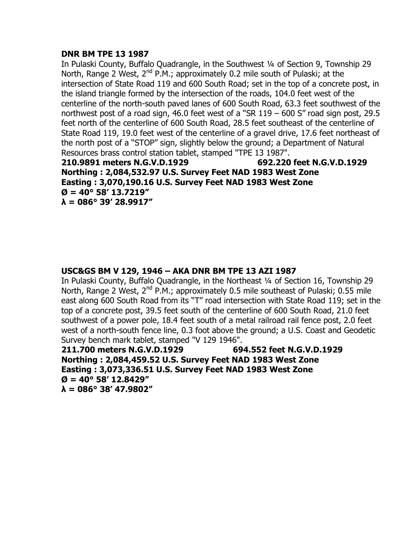# **DNR BM TPE 13 1987**

In Pulaski County, Buffalo Quadrangle, in the Southwest ¼ of Section 9, Township 29 North, Range 2 West,  $2^{nd}$  P.M.; approximately 0.2 mile south of Pulaski; at the intersection of State Road 119 and 600 South Road; set in the top of a concrete post, in the island triangle formed by the intersection of the roads, 104.0 feet west of the centerline of the north-south paved lanes of 600 South Road, 63.3 feet southwest of the northwest post of a road sign, 46.0 feet west of a "SR 119 – 600 S" road sign post, 29.5 feet north of the centerline of 600 South Road, 28.5 feet southeast of the centerline of State Road 119, 19.0 feet west of the centerline of a gravel drive, 17.6 feet northeast of the north post of a "STOP" sign, slightly below the ground; a Department of Natural Resources brass control station tablet, stamped "TPE 13 1987".

**210.9891 meters N.G.V.D.1929 692.220 feet N.G.V.D.1929 Northing : 2,084,532.97 U.S. Survey Feet NAD 1983 West Zone Easting : 3,070,190.16 U.S. Survey Feet NAD 1983 West Zone**  $\varnothing$  = 40° 58' 13.7219" **λ = 086° 39' 28.9917"**

# **USC&GS BM V 129, 1946 – AKA DNR BM TPE 13 AZI 1987**

In Pulaski County, Buffalo Quadrangle, in the Northeast ¼ of Section 16, Township 29 North, Range 2 West, 2<sup>nd</sup> P.M.; approximately 0.5 mile southeast of Pulaski; 0.55 mile east along 600 South Road from its "T" road intersection with State Road 119; set in the top of a concrete post, 39.5 feet south of the centerline of 600 South Road, 21.0 feet southwest of a power pole, 18.4 feet south of a metal railroad rail fence post, 2.0 feet west of a north-south fence line, 0.3 foot above the ground; a U.S. Coast and Geodetic Survey bench mark tablet, stamped "V 129 1946".

**211.700 meters N.G.V.D.1929 694.552 feet N.G.V.D.1929 Northing : 2,084,459.52 U.S. Survey Feet NAD 1983 West Zone Easting : 3,073,336.51 U.S. Survey Feet NAD 1983 West Zone Ø = 40° 58' 12.8429" λ = 086° 38' 47.9802"**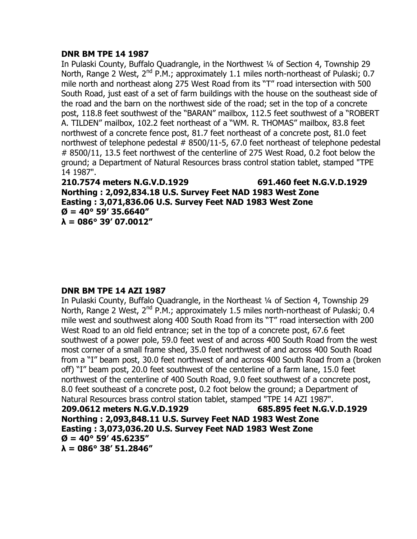# **DNR BM TPE 14 1987**

In Pulaski County, Buffalo Quadrangle, in the Northwest ¼ of Section 4, Township 29 North, Range 2 West,  $2^{nd}$  P.M.; approximately 1.1 miles north-northeast of Pulaski; 0.7 mile north and northeast along 275 West Road from its "T" road intersection with 500 South Road, just east of a set of farm buildings with the house on the southeast side of the road and the barn on the northwest side of the road; set in the top of a concrete post, 118.8 feet southwest of the "BARAN" mailbox, 112.5 feet southwest of a "ROBERT A. TILDEN" mailbox, 102.2 feet northeast of a "WM. R. THOMAS" mailbox, 83.8 feet northwest of a concrete fence post, 81.7 feet northeast of a concrete post, 81.0 feet northwest of telephone pedestal  $#8500/11-5, 67.0$  feet northeast of telephone pedestal # 8500/11, 13.5 feet northwest of the centerline of 275 West Road, 0.2 foot below the ground; a Department of Natural Resources brass control station tablet, stamped "TPE 14 1987".

**210.7574 meters N.G.V.D.1929 691.460 feet N.G.V.D.1929 Northing : 2,092,834.18 U.S. Survey Feet NAD 1983 West Zone Easting : 3,071,836.06 U.S. Survey Feet NAD 1983 West Zone**  $\varnothing$  = 40° 59' 35.6640" **λ = 086° 39' 07.0012"**

# **DNR BM TPE 14 AZI 1987**

In Pulaski County, Buffalo Quadrangle, in the Northeast ¼ of Section 4, Township 29 North, Range 2 West,  $2^{nd}$  P.M.; approximately 1.5 miles north-northeast of Pulaski; 0.4 mile west and southwest along 400 South Road from its "T" road intersection with 200 West Road to an old field entrance; set in the top of a concrete post, 67.6 feet southwest of a power pole, 59.0 feet west of and across 400 South Road from the west most corner of a small frame shed, 35.0 feet northwest of and across 400 South Road from a "I" beam post, 30.0 feet northwest of and across 400 South Road from a (broken off) "I" beam post, 20.0 feet southwest of the centerline of a farm lane, 15.0 feet northwest of the centerline of 400 South Road, 9.0 feet southwest of a concrete post, 8.0 feet southeast of a concrete post, 0.2 foot below the ground; a Department of Natural Resources brass control station tablet, stamped "TPE 14 AZI 1987". **209.0612 meters N.G.V.D.1929 685.895 feet N.G.V.D.1929 Northing : 2,093,848.11 U.S. Survey Feet NAD 1983 West Zone Easting : 3,073,036.20 U.S. Survey Feet NAD 1983 West Zone**  $\varnothing$  = 40° 59' 45.6235"

**λ = 086° 38' 51.2846"**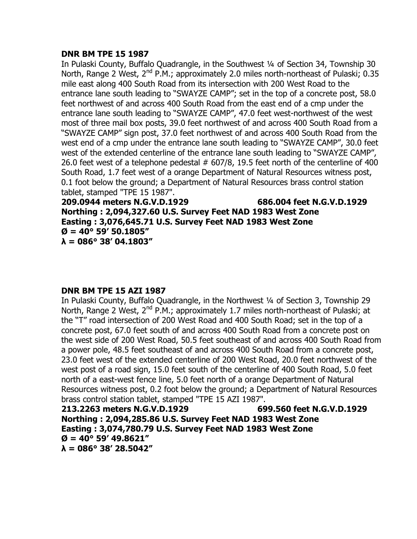# **DNR BM TPE 15 1987**

In Pulaski County, Buffalo Quadrangle, in the Southwest ¼ of Section 34, Township 30 North, Range 2 West,  $2^{nd}$  P.M.; approximately 2.0 miles north-northeast of Pulaski; 0.35 mile east along 400 South Road from its intersection with 200 West Road to the entrance lane south leading to "SWAYZE CAMP"; set in the top of a concrete post, 58.0 feet northwest of and across 400 South Road from the east end of a cmp under the entrance lane south leading to "SWAYZE CAMP", 47.0 feet west-northwest of the west most of three mail box posts, 39.0 feet northwest of and across 400 South Road from a "SWAYZE CAMP" sign post, 37.0 feet northwest of and across 400 South Road from the west end of a cmp under the entrance lane south leading to "SWAYZE CAMP", 30.0 feet west of the extended centerline of the entrance lane south leading to "SWAYZE CAMP", 26.0 feet west of a telephone pedestal  $#607/8$ , 19.5 feet north of the centerline of 400 South Road, 1.7 feet west of a orange Department of Natural Resources witness post, 0.1 foot below the ground; a Department of Natural Resources brass control station tablet, stamped "TPE 15 1987".

**209.0944 meters N.G.V.D.1929 686.004 feet N.G.V.D.1929 Northing : 2,094,327.60 U.S. Survey Feet NAD 1983 West Zone Easting : 3,076,645.71 U.S. Survey Feet NAD 1983 West Zone Ø = 40° 59' 50.1805" λ = 086° 38' 04.1803"**

# **DNR BM TPE 15 AZI 1987**

In Pulaski County, Buffalo Quadrangle, in the Northwest ¼ of Section 3, Township 29 North, Range 2 West,  $2^{nd}$  P.M.; approximately 1.7 miles north-northeast of Pulaski; at the "T" road intersection of 200 West Road and 400 South Road; set in the top of a concrete post, 67.0 feet south of and across 400 South Road from a concrete post on the west side of 200 West Road, 50.5 feet southeast of and across 400 South Road from a power pole, 48.5 feet southeast of and across 400 South Road from a concrete post, 23.0 feet west of the extended centerline of 200 West Road, 20.0 feet northwest of the west post of a road sign, 15.0 feet south of the centerline of 400 South Road, 5.0 feet north of a east-west fence line, 5.0 feet north of a orange Department of Natural Resources witness post, 0.2 foot below the ground; a Department of Natural Resources brass control station tablet, stamped "TPE 15 AZI 1987".

**213.2263 meters N.G.V.D.1929 699.560 feet N.G.V.D.1929 Northing : 2,094,285.86 U.S. Survey Feet NAD 1983 West Zone Easting : 3,074,780.79 U.S. Survey Feet NAD 1983 West Zone**  $\varnothing$  = 40° 59' 49.8621" **λ = 086° 38' 28.5042"**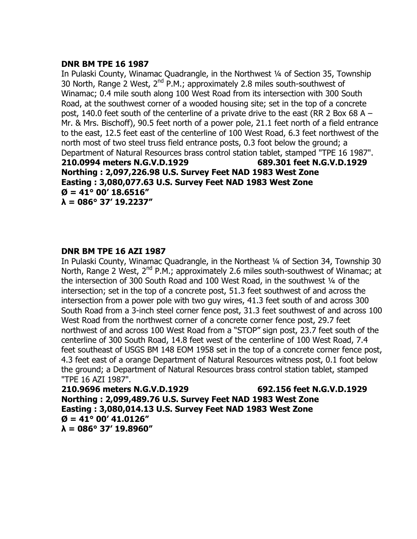# **DNR BM TPE 16 1987**

In Pulaski County, Winamac Quadrangle, in the Northwest ¼ of Section 35, Township 30 North, Range 2 West, 2<sup>nd</sup> P.M.; approximately 2.8 miles south-southwest of Winamac; 0.4 mile south along 100 West Road from its intersection with 300 South Road, at the southwest corner of a wooded housing site; set in the top of a concrete post, 140.0 feet south of the centerline of a private drive to the east (RR 2 Box 68 A – Mr. & Mrs. Bischoff), 90.5 feet north of a power pole, 21.1 feet north of a field entrance to the east, 12.5 feet east of the centerline of 100 West Road, 6.3 feet northwest of the north most of two steel truss field entrance posts, 0.3 foot below the ground; a Department of Natural Resources brass control station tablet, stamped "TPE 16 1987". **210.0994 meters N.G.V.D.1929 689.301 feet N.G.V.D.1929 Northing : 2,097,226.98 U.S. Survey Feet NAD 1983 West Zone Easting : 3,080,077.63 U.S. Survey Feet NAD 1983 West Zone Ø = 41° 00' 18.6516" λ = 086° 37' 19.2237"**

# **DNR BM TPE 16 AZI 1987**

In Pulaski County, Winamac Quadrangle, in the Northeast ¼ of Section 34, Township 30 North, Range 2 West,  $2^{nd}$  P.M.; approximately 2.6 miles south-southwest of Winamac; at the intersection of 300 South Road and 100 West Road, in the southwest 1/4 of the intersection; set in the top of a concrete post, 51.3 feet southwest of and across the intersection from a power pole with two guy wires, 41.3 feet south of and across 300 South Road from a 3-inch steel corner fence post, 31.3 feet southwest of and across 100 West Road from the northwest corner of a concrete corner fence post, 29.7 feet northwest of and across 100 West Road from a "STOP" sign post, 23.7 feet south of the centerline of 300 South Road, 14.8 feet west of the centerline of 100 West Road, 7.4 feet southeast of USGS BM 148 EOM 1958 set in the top of a concrete corner fence post, 4.3 feet east of a orange Department of Natural Resources witness post, 0.1 foot below the ground; a Department of Natural Resources brass control station tablet, stamped "TPE 16 AZI 1987".

**210.9696 meters N.G.V.D.1929 692.156 feet N.G.V.D.1929 Northing : 2,099,489.76 U.S. Survey Feet NAD 1983 West Zone Easting : 3,080,014.13 U.S. Survey Feet NAD 1983 West Zone**  $\varnothing$  = 41° 00' 41.0126" **λ = 086° 37' 19.8960"**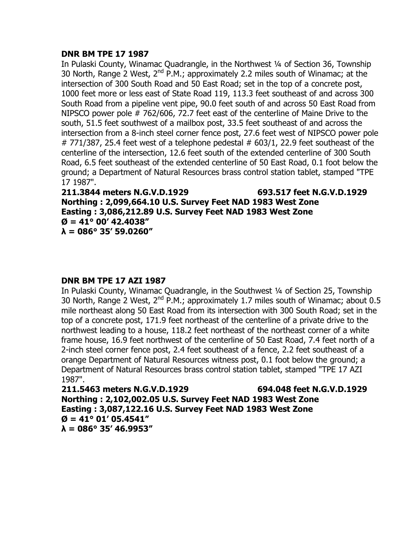# **DNR BM TPE 17 1987**

In Pulaski County, Winamac Quadrangle, in the Northwest ¼ of Section 36, Township 30 North, Range 2 West,  $2^{nd}$  P.M.; approximately 2.2 miles south of Winamac; at the intersection of 300 South Road and 50 East Road; set in the top of a concrete post, 1000 feet more or less east of State Road 119, 113.3 feet southeast of and across 300 South Road from a pipeline vent pipe, 90.0 feet south of and across 50 East Road from NIPSCO power pole # 762/606, 72.7 feet east of the centerline of Maine Drive to the south, 51.5 feet southwest of a mailbox post, 33.5 feet southeast of and across the intersection from a 8-inch steel corner fence post, 27.6 feet west of NIPSCO power pole # 771/387, 25.4 feet west of a telephone pedestal  $# 603/1$ , 22.9 feet southeast of the centerline of the intersection, 12.6 feet south of the extended centerline of 300 South Road, 6.5 feet southeast of the extended centerline of 50 East Road, 0.1 foot below the ground; a Department of Natural Resources brass control station tablet, stamped "TPE 17 1987".

**211.3844 meters N.G.V.D.1929 693.517 feet N.G.V.D.1929 Northing : 2,099,664.10 U.S. Survey Feet NAD 1983 West Zone Easting : 3,086,212.89 U.S. Survey Feet NAD 1983 West Zone**  $\varnothing$  = 41° 00' 42.4038" **λ = 086° 35' 59.0260"**

# **DNR BM TPE 17 AZI 1987**

In Pulaski County, Winamac Quadrangle, in the Southwest ¼ of Section 25, Township 30 North, Range 2 West,  $2^{nd}$  P.M.; approximately 1.7 miles south of Winamac; about 0.5 mile northeast along 50 East Road from its intersection with 300 South Road; set in the top of a concrete post, 171.9 feet northeast of the centerline of a private drive to the northwest leading to a house, 118.2 feet northeast of the northeast corner of a white frame house, 16.9 feet northwest of the centerline of 50 East Road, 7.4 feet north of a 2-inch steel corner fence post, 2.4 feet southeast of a fence, 2.2 feet southeast of a orange Department of Natural Resources witness post, 0.1 foot below the ground; a Department of Natural Resources brass control station tablet, stamped "TPE 17 AZI 1987".

**211.5463 meters N.G.V.D.1929 694.048 feet N.G.V.D.1929 Northing : 2,102,002.05 U.S. Survey Feet NAD 1983 West Zone Easting : 3,087,122.16 U.S. Survey Feet NAD 1983 West Zone Ø = 41° 01' 05.4541" λ = 086° 35' 46.9953"**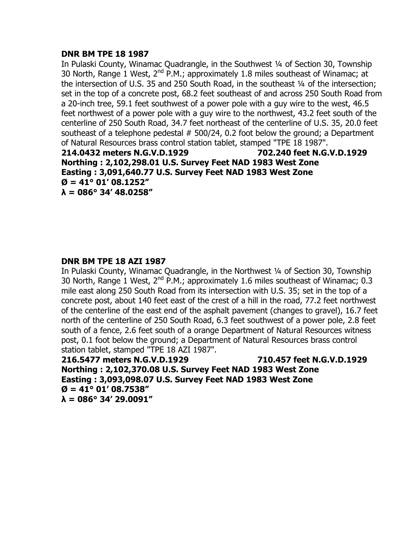# **DNR BM TPE 18 1987**

In Pulaski County, Winamac Quadrangle, in the Southwest 1/4 of Section 30, Township 30 North, Range 1 West,  $2^{nd}$  P.M.; approximately 1.8 miles southeast of Winamac; at the intersection of U.S. 35 and 250 South Road, in the southeast 1/4 of the intersection; set in the top of a concrete post, 68.2 feet southeast of and across 250 South Road from a 20-inch tree, 59.1 feet southwest of a power pole with a guy wire to the west, 46.5 feet northwest of a power pole with a guy wire to the northwest, 43.2 feet south of the centerline of 250 South Road, 34.7 feet northeast of the centerline of U.S. 35, 20.0 feet southeast of a telephone pedestal  $# 500/24$ , 0.2 foot below the ground; a Department of Natural Resources brass control station tablet, stamped "TPE 18 1987". **214.0432 meters N.G.V.D.1929 702.240 feet N.G.V.D.1929 Northing : 2,102,298.01 U.S. Survey Feet NAD 1983 West Zone Easting : 3,091,640.77 U.S. Survey Feet NAD 1983 West Zone**  $\varnothing$  = 41° 01' 08.1252"

**λ = 086° 34' 48.0258"**

# **DNR BM TPE 18 AZI 1987**

In Pulaski County, Winamac Quadrangle, in the Northwest ¼ of Section 30, Township 30 North, Range 1 West,  $2^{nd}$  P.M.; approximately 1.6 miles southeast of Winamac; 0.3 mile east along 250 South Road from its intersection with U.S. 35; set in the top of a concrete post, about 140 feet east of the crest of a hill in the road, 77.2 feet northwest of the centerline of the east end of the asphalt pavement (changes to gravel), 16.7 feet north of the centerline of 250 South Road, 6.3 feet southwest of a power pole, 2.8 feet south of a fence, 2.6 feet south of a orange Department of Natural Resources witness post, 0.1 foot below the ground; a Department of Natural Resources brass control station tablet, stamped "TPE 18 AZI 1987".

**216.5477 meters N.G.V.D.1929 710.457 feet N.G.V.D.1929 Northing : 2,102,370.08 U.S. Survey Feet NAD 1983 West Zone Easting : 3,093,098.07 U.S. Survey Feet NAD 1983 West Zone Ø = 41° 01' 08.7538" λ = 086° 34' 29.0091"**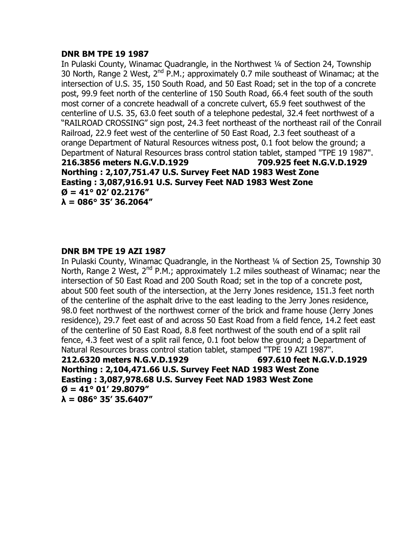# **DNR BM TPE 19 1987**

In Pulaski County, Winamac Quadrangle, in the Northwest ¼ of Section 24, Township 30 North, Range 2 West,  $2^{nd}$  P.M.; approximately 0.7 mile southeast of Winamac; at the intersection of U.S. 35, 150 South Road, and 50 East Road; set in the top of a concrete post, 99.9 feet north of the centerline of 150 South Road, 66.4 feet south of the south most corner of a concrete headwall of a concrete culvert, 65.9 feet southwest of the centerline of U.S. 35, 63.0 feet south of a telephone pedestal, 32.4 feet northwest of a "RAILROAD CROSSING" sign post, 24.3 feet northeast of the northeast rail of the Conrail Railroad, 22.9 feet west of the centerline of 50 East Road, 2.3 feet southeast of a orange Department of Natural Resources witness post, 0.1 foot below the ground; a Department of Natural Resources brass control station tablet, stamped "TPE 19 1987". **216.3856 meters N.G.V.D.1929 709.925 feet N.G.V.D.1929 Northing : 2,107,751.47 U.S. Survey Feet NAD 1983 West Zone Easting : 3,087,916.91 U.S. Survey Feet NAD 1983 West Zone**  $\varnothing$  = 41° 02' 02.2176" **λ = 086° 35' 36.2064"**

# **DNR BM TPE 19 AZI 1987**

In Pulaski County, Winamac Quadrangle, in the Northeast ¼ of Section 25, Township 30 North, Range 2 West, 2<sup>nd</sup> P.M.; approximately 1.2 miles southeast of Winamac; near the intersection of 50 East Road and 200 South Road; set in the top of a concrete post, about 500 feet south of the intersection, at the Jerry Jones residence, 151.3 feet north of the centerline of the asphalt drive to the east leading to the Jerry Jones residence, 98.0 feet northwest of the northwest corner of the brick and frame house (Jerry Jones residence), 29.7 feet east of and across 50 East Road from a field fence, 14.2 feet east of the centerline of 50 East Road, 8.8 feet northwest of the south end of a split rail fence, 4.3 feet west of a split rail fence, 0.1 foot below the ground; a Department of Natural Resources brass control station tablet, stamped "TPE 19 AZI 1987".

**212.6320 meters N.G.V.D.1929 697.610 feet N.G.V.D.1929 Northing : 2,104,471.66 U.S. Survey Feet NAD 1983 West Zone Easting : 3,087,978.68 U.S. Survey Feet NAD 1983 West Zone Ø = 41° 01' 29.8079" λ = 086° 35' 35.6407"**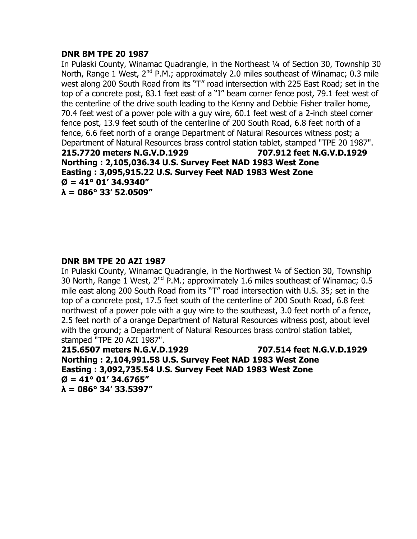# **DNR BM TPE 20 1987**

In Pulaski County, Winamac Quadrangle, in the Northeast 1/4 of Section 30, Township 30 North, Range 1 West, 2<sup>nd</sup> P.M.; approximately 2.0 miles southeast of Winamac; 0.3 mile west along 200 South Road from its "T" road intersection with 225 East Road; set in the top of a concrete post, 83.1 feet east of a "I" beam corner fence post, 79.1 feet west of the centerline of the drive south leading to the Kenny and Debbie Fisher trailer home, 70.4 feet west of a power pole with a guy wire, 60.1 feet west of a 2-inch steel corner fence post, 13.9 feet south of the centerline of 200 South Road, 6.8 feet north of a fence, 6.6 feet north of a orange Department of Natural Resources witness post; a Department of Natural Resources brass control station tablet, stamped "TPE 20 1987". **215.7720 meters N.G.V.D.1929 707.912 feet N.G.V.D.1929 Northing : 2,105,036.34 U.S. Survey Feet NAD 1983 West Zone Easting : 3,095,915.22 U.S. Survey Feet NAD 1983 West Zone**  $\varnothing$  = 41° 01' 34.9340" **λ = 086° 33' 52.0509"**

# **DNR BM TPE 20 AZI 1987**

In Pulaski County, Winamac Quadrangle, in the Northwest ¼ of Section 30, Township 30 North, Range 1 West,  $2^{nd}$  P.M.; approximately 1.6 miles southeast of Winamac; 0.5 mile east along 200 South Road from its "T" road intersection with U.S. 35; set in the top of a concrete post, 17.5 feet south of the centerline of 200 South Road, 6.8 feet northwest of a power pole with a guy wire to the southeast, 3.0 feet north of a fence, 2.5 feet north of a orange Department of Natural Resources witness post, about level with the ground; a Department of Natural Resources brass control station tablet, stamped "TPE 20 AZI 1987".

**215.6507 meters N.G.V.D.1929 707.514 feet N.G.V.D.1929 Northing : 2,104,991.58 U.S. Survey Feet NAD 1983 West Zone Easting : 3,092,735.54 U.S. Survey Feet NAD 1983 West Zone Ø = 41° 01' 34.6765" λ = 086° 34' 33.5397"**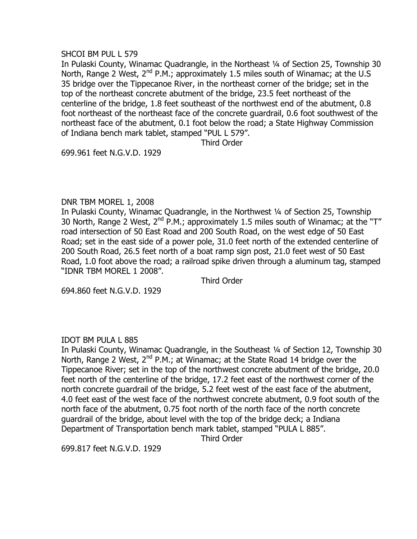### SHCOI BM PUL L 579

In Pulaski County, Winamac Quadrangle, in the Northeast 1/4 of Section 25, Township 30 North, Range 2 West, 2<sup>nd</sup> P.M.; approximately 1.5 miles south of Winamac; at the U.S 35 bridge over the Tippecanoe River, in the northeast corner of the bridge; set in the top of the northeast concrete abutment of the bridge, 23.5 feet northeast of the centerline of the bridge, 1.8 feet southeast of the northwest end of the abutment, 0.8 foot northeast of the northeast face of the concrete guardrail, 0.6 foot southwest of the northeast face of the abutment, 0.1 foot below the road; a State Highway Commission of Indiana bench mark tablet, stamped "PUL L 579".

Third Order

699.961 feet N.G.V.D. 1929

#### DNR TBM MOREL 1, 2008

In Pulaski County, Winamac Quadrangle, in the Northwest ¼ of Section 25, Township 30 North, Range 2 West,  $2^{nd}$  P.M.; approximately 1.5 miles south of Winamac; at the "T" road intersection of 50 East Road and 200 South Road, on the west edge of 50 East Road; set in the east side of a power pole, 31.0 feet north of the extended centerline of 200 South Road, 26.5 feet north of a boat ramp sign post, 21.0 feet west of 50 East Road, 1.0 foot above the road; a railroad spike driven through a aluminum tag, stamped "IDNR TBM MOREL 1 2008".

Third Order

694.860 feet N.G.V.D. 1929

# IDOT BM PULA L 885

In Pulaski County, Winamac Quadrangle, in the Southeast ¼ of Section 12, Township 30 North, Range 2 West,  $2^{nd}$  P.M.; at Winamac; at the State Road 14 bridge over the Tippecanoe River; set in the top of the northwest concrete abutment of the bridge, 20.0 feet north of the centerline of the bridge, 17.2 feet east of the northwest corner of the north concrete guardrail of the bridge, 5.2 feet west of the east face of the abutment, 4.0 feet east of the west face of the northwest concrete abutment, 0.9 foot south of the north face of the abutment, 0.75 foot north of the north face of the north concrete guardrail of the bridge, about level with the top of the bridge deck; a Indiana Department of Transportation bench mark tablet, stamped "PULA L 885".

Third Order

699.817 feet N.G.V.D. 1929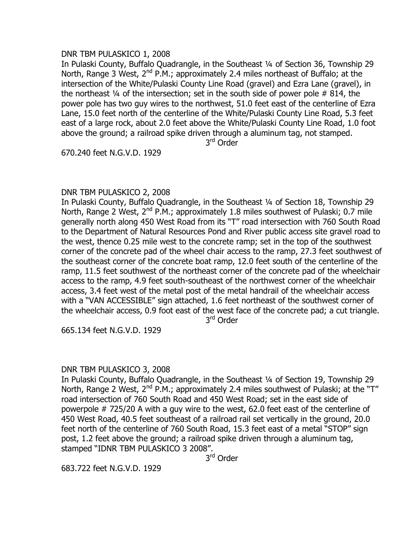### DNR TBM PULASKICO 1, 2008

In Pulaski County, Buffalo Quadrangle, in the Southeast ¼ of Section 36, Township 29 North, Range 3 West, 2<sup>nd</sup> P.M.; approximately 2.4 miles northeast of Buffalo; at the intersection of the White/Pulaski County Line Road (gravel) and Ezra Lane (gravel), in the northeast  $\frac{1}{4}$  of the intersection; set in the south side of power pole # 814, the power pole has two guy wires to the northwest, 51.0 feet east of the centerline of Ezra Lane, 15.0 feet north of the centerline of the White/Pulaski County Line Road, 5.3 feet east of a large rock, about 2.0 feet above the White/Pulaski County Line Road, 1.0 foot above the ground; a railroad spike driven through a aluminum tag, not stamped.

3<sup>rd</sup> Order

670.240 feet N.G.V.D. 1929

# DNR TBM PULASKICO 2, 2008

In Pulaski County, Buffalo Quadrangle, in the Southeast ¼ of Section 18, Township 29 North, Range 2 West,  $2^{nd}$  P.M.; approximately 1.8 miles southwest of Pulaski; 0.7 mile generally north along 450 West Road from its "T" road intersection with 760 South Road to the Department of Natural Resources Pond and River public access site gravel road to the west, thence 0.25 mile west to the concrete ramp; set in the top of the southwest corner of the concrete pad of the wheel chair access to the ramp, 27.3 feet southwest of the southeast corner of the concrete boat ramp, 12.0 feet south of the centerline of the ramp, 11.5 feet southwest of the northeast corner of the concrete pad of the wheelchair access to the ramp, 4.9 feet south-southeast of the northwest corner of the wheelchair access, 3.4 feet west of the metal post of the metal handrail of the wheelchair access with a "VAN ACCESSIBLE" sign attached, 1.6 feet northeast of the southwest corner of the wheelchair access, 0.9 foot east of the west face of the concrete pad; a cut triangle.

3<sup>rd</sup> Order

665.134 feet N.G.V.D. 1929

# DNR TBM PULASKICO 3, 2008

In Pulaski County, Buffalo Quadrangle, in the Southeast ¼ of Section 19, Township 29 North, Range 2 West,  $2^{nd}$  P.M.; approximately 2.4 miles southwest of Pulaski; at the "T" road intersection of 760 South Road and 450 West Road; set in the east side of powerpole # 725/20 A with a guy wire to the west, 62.0 feet east of the centerline of 450 West Road, 40.5 feet southeast of a railroad rail set vertically in the ground, 20.0 feet north of the centerline of 760 South Road, 15.3 feet east of a metal "STOP" sign post, 1.2 feet above the ground; a railroad spike driven through a aluminum tag, stamped "IDNR TBM PULASKICO 3 2008".

3<sup>rd</sup> Order

683.722 feet N.G.V.D. 1929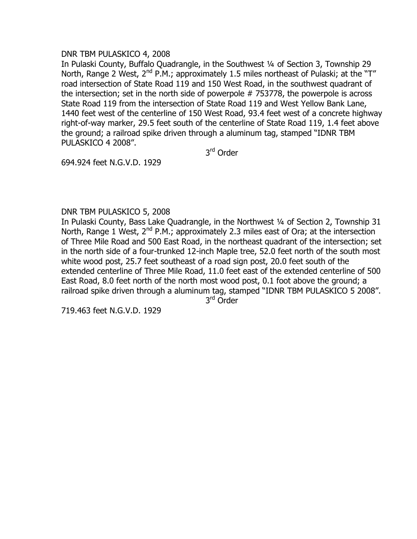### DNR TBM PULASKICO 4, 2008

In Pulaski County, Buffalo Quadrangle, in the Southwest ¼ of Section 3, Township 29 North, Range 2 West,  $2^{nd}$  P.M.; approximately 1.5 miles northeast of Pulaski; at the "T" road intersection of State Road 119 and 150 West Road, in the southwest quadrant of the intersection; set in the north side of powerpole # 753778, the powerpole is across State Road 119 from the intersection of State Road 119 and West Yellow Bank Lane, 1440 feet west of the centerline of 150 West Road, 93.4 feet west of a concrete highway right-of-way marker, 29.5 feet south of the centerline of State Road 119, 1.4 feet above the ground; a railroad spike driven through a aluminum tag, stamped "IDNR TBM PULASKICO 4 2008".

3<sup>rd</sup> Order

694.924 feet N.G.V.D. 1929

# DNR TBM PULASKICO 5, 2008

In Pulaski County, Bass Lake Quadrangle, in the Northwest ¼ of Section 2, Township 31 North, Range 1 West,  $2^{nd}$  P.M.; approximately 2.3 miles east of Ora; at the intersection of Three Mile Road and 500 East Road, in the northeast quadrant of the intersection; set in the north side of a four-trunked 12-inch Maple tree, 52.0 feet north of the south most white wood post, 25.7 feet southeast of a road sign post, 20.0 feet south of the extended centerline of Three Mile Road, 11.0 feet east of the extended centerline of 500 East Road, 8.0 feet north of the north most wood post, 0.1 foot above the ground; a railroad spike driven through a aluminum tag, stamped "IDNR TBM PULASKICO 5 2008".

3<sup>rd</sup> Order

719.463 feet N.G.V.D. 1929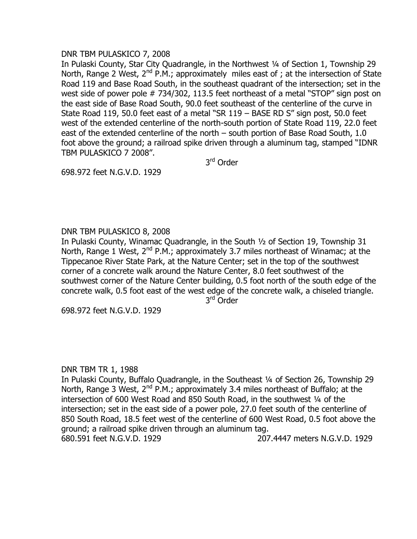# DNR TBM PULASKICO 7, 2008

In Pulaski County, Star City Quadrangle, in the Northwest ¼ of Section 1, Township 29 North, Range 2 West,  $2^{nd}$  P.M.; approximately miles east of ; at the intersection of State Road 119 and Base Road South, in the southeast quadrant of the intersection; set in the west side of power pole # 734/302, 113.5 feet northeast of a metal "STOP" sign post on the east side of Base Road South, 90.0 feet southeast of the centerline of the curve in State Road 119, 50.0 feet east of a metal "SR 119 – BASE RD S" sign post, 50.0 feet west of the extended centerline of the north-south portion of State Road 119, 22.0 feet east of the extended centerline of the north – south portion of Base Road South, 1.0 foot above the ground; a railroad spike driven through a aluminum tag, stamped "IDNR TBM PULASKICO 7 2008".

3<sup>rd</sup> Order

698.972 feet N.G.V.D. 1929

# DNR TBM PULASKICO 8, 2008

In Pulaski County, Winamac Quadrangle, in the South ½ of Section 19, Township 31 North, Range 1 West,  $2^{nd}$  P.M.; approximately 3.7 miles northeast of Winamac; at the Tippecanoe River State Park, at the Nature Center; set in the top of the southwest corner of a concrete walk around the Nature Center, 8.0 feet southwest of the southwest corner of the Nature Center building, 0.5 foot north of the south edge of the concrete walk, 0.5 foot east of the west edge of the concrete walk, a chiseled triangle.

3<sup>rd</sup> Order

698.972 feet N.G.V.D. 1929

# DNR TBM TR 1, 1988

In Pulaski County, Buffalo Quadrangle, in the Southeast ¼ of Section 26, Township 29 North, Range 3 West,  $2^{nd}$  P.M.; approximately 3.4 miles northeast of Buffalo; at the intersection of 600 West Road and 850 South Road, in the southwest 1/4 of the intersection; set in the east side of a power pole, 27.0 feet south of the centerline of 850 South Road, 18.5 feet west of the centerline of 600 West Road, 0.5 foot above the ground; a railroad spike driven through an aluminum tag. 680.591 feet N.G.V.D. 1929 207.4447 meters N.G.V.D. 1929